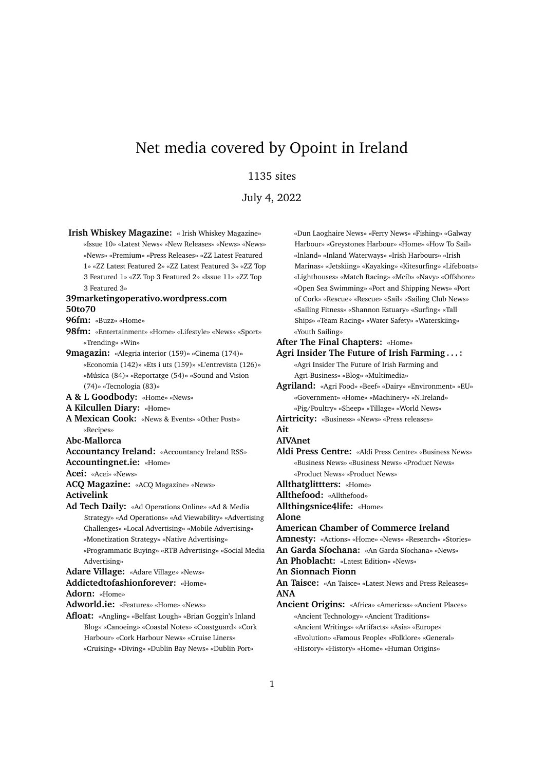# Net media covered by Opoint in Ireland

## 1135 sites

July 4, 2022

**Irish Whiskey Magazine:** « Irish Whiskey Magazine» «Issue 10» «Latest News» «New Releases» «News» «News» «News» «Premium» «Press Releases» «ZZ Latest Featured 1» «ZZ Latest Featured 2» «ZZ Latest Featured 3» «ZZ Top 3 Featured 1» «ZZ Top 3 Featured 2» «Issue 11» «ZZ Top 3 Featured 3» **39marketingoperativo.wordpress.com 50to70 96fm:** «Buzz» «Home» **98fm:** «Entertainment» «Home» «Lifestyle» «News» «Sport» «Trending» «Win» **9magazin:** «Alegria interior (159)» «Cinema (174)» «Economia (142)» «Ets i uts (159)» «L'entrevista (126)» «Música (84)» «Reportatge (54)» «Sound and Vision (74)» «Tecnologia (83)» **A & L Goodbody:** «Home» «News» **A Kilcullen Diary:** «Home» **A Mexican Cook:** «News & Events» «Other Posts» «Recipes» **Abc-Mallorca Accountancy Ireland:** «Accountancy Ireland RSS» **Accountingnet.ie:** «Home» **Acei:** «Acei» «News» **ACQ Magazine:** «ACQ Magazine» «News» **Activelink Ad Tech Daily:** «Ad Operations Online» «Ad & Media Strategy» «Ad Operations» «Ad Viewability» «Advertising Challenges» «Local Advertising» «Mobile Advertising» «Monetization Strategy» «Native Advertising» «Programmatic Buying» «RTB Advertising» «Social Media Advertising» **Adare Village:** «Adare Village» «News» **Addictedtofashionforever:** «Home» **Adorn:** «Home» **Adworld.ie:** «Features» «Home» «News» **Afloat:** «Angling» «Belfast Lough» «Brian Goggin's Inland Blog» «Canoeing» «Coastal Notes» «Coastguard» «Cork

Harbour» «Cork Harbour News» «Cruise Liners» «Cruising» «Diving» «Dublin Bay News» «Dublin Port» «Dun Laoghaire News» «Ferry News» «Fishing» «Galway Harbour» «Greystones Harbour» «Home» «How To Sail» «Inland» «Inland Waterways» «Irish Harbours» «Irish Marinas» «Jetskiing» «Kayaking» «Kitesurfing» «Lifeboats» «Lighthouses» «Match Racing» «Mcib» «Navy» «Offshore» «Open Sea Swimming» «Port and Shipping News» «Port of Cork» «Rescue» «Rescue» «Sail» «Sailing Club News» «Sailing Fitness» «Shannon Estuary» «Surfing» «Tall Ships» «Team Racing» «Water Safety» «Waterskiing» «Youth Sailing»

## **After The Final Chapters:** «Home»

**Agri Insider The Future of Irish Farming . . . :** «Agri Insider The Future of Irish Farming and Agri-Business» «Blog» «Multimedia»

**Agriland:** «Agri Food» «Beef» «Dairy» «Environment» «EU» «Government» «Home» «Machinery» «N.Ireland» «Pig/Poultry» «Sheep» «Tillage» «World News»

**Airtricity:** «Business» «News» «Press releases»

## **Ait**

## **AIVAnet**

**Aldi Press Centre:** «Aldi Press Centre» «Business News» «Business News» «Business News» «Product News» «Product News» «Product News»

**Allthatglittters:** «Home»

**Allthefood:** «Allthefood»

**Allthingsnice4life:** «Home»

**Alone**

#### **American Chamber of Commerce Ireland**

**Amnesty:** «Actions» «Home» «News» «Research» «Stories»

**An Garda Síochana:** «An Garda Síochana» «News»

**An Phoblacht:** «Latest Edition» «News»

#### **An Sionnach Fionn**

**An Taisce:** «An Taisce» «Latest News and Press Releases» **ANA**

**Ancient Origins:** «Africa» «Americas» «Ancient Places» «Ancient Technology» «Ancient Traditions» «Ancient Writings» «Artifacts» «Asia» «Europe» «Evolution» «Famous People» «Folklore» «General» «History» «History» «Home» «Human Origins»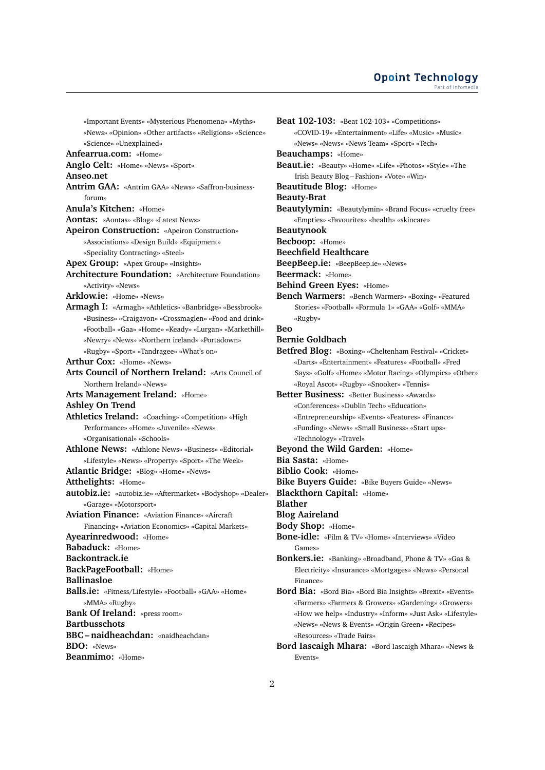### **Opoint Technology** Part of Infome

«Important Events» «Mysterious Phenomena» «Myths» «News» «Opinion» «Other artifacts» «Religions» «Science» «Science» «Unexplained»

**Anfearrua.com:** «Home»

**Anglo Celt:** «Home» «News» «Sport»

**Anseo.net**

**Antrim GAA:** «Antrim GAA» «News» «Saffron-businessforum»

**Anula's Kitchen:** «Home»

**Aontas:** «Aontas» «Blog» «Latest News»

**Apeiron Construction:** «Apeiron Construction» «Associations» «Design Build» «Equipment» «Speciality Contracting» «Steel»

**Apex Group:** «Apex Group» «Insights»

**Architecture Foundation:** «Architecture Foundation» «Activity» «News»

**Arklow.ie:** «Home» «News»

**Armagh I:** «Armagh» «Athletics» «Banbridge» «Bessbrook» «Business» «Craigavon» «Crossmaglen» «Food and drink» «Football» «Gaa» «Home» «Keady» «Lurgan» «Markethill» «Newry» «News» «Northern ireland» «Portadown» «Rugby» «Sport» «Tandragee» «What's on»

**Arthur Cox:** «Home» «News»

**Arts Council of Northern Ireland:** «Arts Council of Northern Ireland» «News»

**Arts Management Ireland:** «Home»

**Ashley On Trend**

**Athletics Ireland:** «Coaching» «Competition» «High Performance» «Home» «Juvenile» «News» «Organisational» «Schools»

**Athlone News:** «Athlone News» «Business» «Editorial» «Lifestyle» «News» «Property» «Sport» «The Week»

**Atlantic Bridge:** «Blog» «Home» «News»

**Atthelights:** «Home»

- **autobiz.ie:** «autobiz.ie» «Aftermarket» «Bodyshop» «Dealer» «Garage» «Motorsport»
- **Aviation Finance:** «Aviation Finance» «Aircraft Financing» «Aviation Economics» «Capital Markets» **Ayearinredwood:** «Home» **Babaduck:** «Home» **Backontrack.ie BackPageFootball:** «Home»

**Ballinasloe**

**Balls.ie:** «Fitness/Lifestyle» «Football» «GAA» «Home» «MMA» «Rugby»

**Bank Of Ireland:** «press room»

**Bartbusschots**

**BBC – naidheachdan:** «naidheachdan» **BDO:** «News»

**Beanmimo:** «Home»

**Beat 102-103:** «Beat 102-103» «Competitions» «COVID-19» «Entertainment» «Life» «Music» «Music» «News» «News» «News Team» «Sport» «Tech» **Beauchamps:** «Home» **Beaut.ie:** «Beauty» «Home» «Life» «Photos» «Style» «The Irish Beauty Blog – Fashion» «Vote» «Win» **Beautitude Blog:** «Home» **Beauty-Brat Beautylymin:** «Beautylymin» «Brand Focus» «cruelty free» «Empties» «Favourites» «health» «skincare» **Beautynook Becboop:** «Home» **Beechfield Healthcare BeepBeep.ie:** «BeepBeep.ie» «News» **Beermack:** «Home» **Behind Green Eyes:** «Home» **Bench Warmers:** «Bench Warmers» «Boxing» «Featured Stories» «Football» «Formula 1» «GAA» «Golf» «MMA» «Rugby» **Beo Bernie Goldbach Betfred Blog:** «Boxing» «Cheltenham Festival» «Cricket» «Darts» «Entertainment» «Features» «Football» «Fred Says» «Golf» «Home» «Motor Racing» «Olympics» «Other» «Royal Ascot» «Rugby» «Snooker» «Tennis» **Better Business:** «Better Business» «Awards» «Conferences» «Dublin Tech» «Education» «Entrepreneurship» «Events» «Features» «Finance» «Funding» «News» «Small Business» «Start ups» «Technology» «Travel» **Beyond the Wild Garden:** «Home» **Bia Sasta:** «Home» **Biblio Cook:** «Home» **Bike Buyers Guide:** «Bike Buyers Guide» «News» **Blackthorn Capital:** «Home» **Blather Blog Aaireland Body Shop:** «Home» **Bone-idle:** «Film & TV» «Home» «Interviews» «Video Games» **Bonkers.ie:** «Banking» «Broadband, Phone & TV» «Gas & Electricity» «Insurance» «Mortgages» «News» «Personal Finance» **Bord Bia:** «Bord Bia» «Bord Bia Insights» «Brexit» «Events»

«Farmers» «Farmers & Growers» «Gardening» «Growers» «How we help» «Industry» «Inform» «Just Ask» «Lifestyle» «News» «News & Events» «Origin Green» «Recipes» «Resources» «Trade Fairs»

**Bord Iascaigh Mhara:** «Bord Iascaigh Mhara» «News & Events»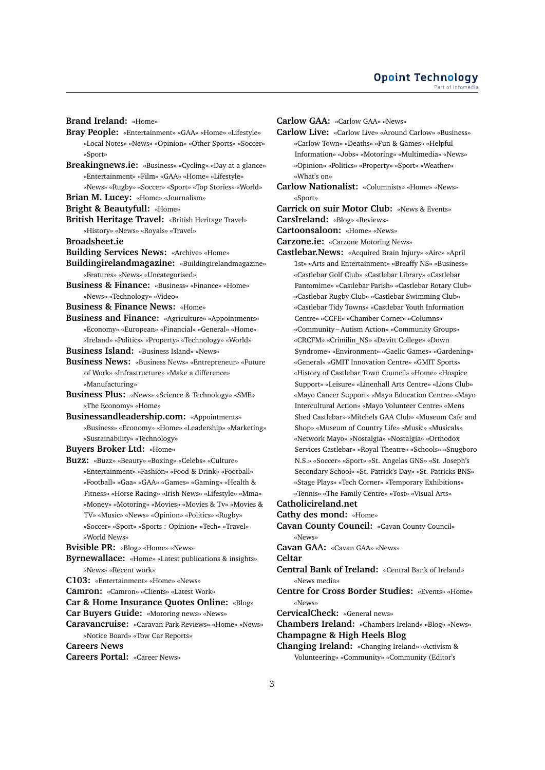**Brand Ireland:** «Home»

- **Bray People:** «Entertainment» «GAA» «Home» «Lifestyle» «Local Notes» «News» «Opinion» «Other Sports» «Soccer» «Sport»
- **Breakingnews.ie:** «Business» «Cycling» «Day at a glance» «Entertainment» «Film» «GAA» «Home» «Lifestyle»
- «News» «Rugby» «Soccer» «Sport» «Top Stories» «World»
- **Brian M. Lucey:** «Home» «Journalism»
- **Bright & Beautyfull:** «Home»
- **British Heritage Travel:** «British Heritage Travel» «History» «News» «Royals» «Travel»
- **Broadsheet.ie**
- **Building Services News:** «Archive» «Home»
- **Buildingirelandmagazine:** «Buildingirelandmagazine» «Features» «News» «Uncategorised»
- **Business & Finance:** «Business» «Finance» «Home» «News» «Technology» «Video»
- **Business & Finance News:** «Home»
- **Business and Finance:** «Agriculture» «Appointments» «Economy» «European» «Financial» «General» «Home» «Ireland» «Politics» «Property» «Technology» «World»
- **Business Island:** «Business Island» «News»
- **Business News:** «Business News» «Entrepreneur» «Future of Work» «Infrastructure» «Make a difference» «Manufacturing»
- **Business Plus:** «News» «Science & Technology» «SME» «The Economy» «Home»
- **Businessandleadership.com:** «Appointments» «Business» «Economy» «Home» «Leadership» «Marketing» «Sustainability» «Technology»
- **Buyers Broker Ltd:** «Home»
- **Buzz:** «Buzz» «Beauty» «Boxing» «Celebs» «Culture» «Entertainment» «Fashion» «Food & Drink» «Football» «Football» «Gaa» «GAA» «Games» «Gaming» «Health & Fitness» «Horse Racing» «Irish News» «Lifestyle» «Mma» «Money» «Motoring» «Movies» «Movies & Tv» «Movies & TV» «Music» «News» «Opinion» «Politics» «Rugby» «Soccer» «Sport» «Sports : Opinion» «Tech» «Travel» «World News»
- **Bvisible PR:** «Blog» «Home» «News»
- **Byrnewallace:** «Home» «Latest publications & insights» «News» «Recent work»
- **C103:** «Entertainment» «Home» «News»
- **Camron:** «Camron» «Clients» «Latest Work»
- **Car & Home Insurance Quotes Online:** «Blog»
- **Car Buyers Guide:** «Motoring news» «News»
- **Caravancruise:** «Caravan Park Reviews» «Home» «News» «Notice Board» «Tow Car Reports»
- **Careers News**
- **Careers Portal:** «Career News»
- **Carlow GAA:** «Carlow GAA» «News»
- **Carlow Live:** «Carlow Live» «Around Carlow» «Business» «Carlow Town» «Deaths» «Fun & Games» «Helpful Information» «Jobs» «Motoring» «Multimedia» «News» «Opinion» «Politics» «Property» «Sport» «Weather» «What's on»
- **Carlow Nationalist:** «Columnists» «Home» «News» «Sport»
- **Carrick on suir Motor Club:** «News & Events»
- **CarsIreland:** «Blog» «Reviews»
- **Cartoonsaloon:** «Home» «News»
- **Carzone.ie:** «Carzone Motoring News»
- **Castlebar.News:** «Acquired Brain Injury» «Airc» «April 1st» «Arts and Entertainment» «Breaffy NS» «Business» «Castlebar Golf Club» «Castlebar Library» «Castlebar Pantomime» «Castlebar Parish» «Castlebar Rotary Club» «Castlebar Rugby Club» «Castlebar Swimming Club» «Castlebar Tidy Towns» «Castlebar Youth Information Centre» «CCFE» «Chamber Corner» «Columns» «Community – Autism Action» «Community Groups» «CRCFM» «Crimilin\_NS» «Davitt College» «Down Syndrome» «Environment» «Gaelic Games» «Gardening» «General» «GMIT Innovation Centre» «GMIT Sports» «History of Castlebar Town Council» «Home» «Hospice Support» «Leisure» «Linenhall Arts Centre» «Lions Club» «Mayo Cancer Support» «Mayo Education Centre» «Mayo Intercultural Action» «Mayo Volunteer Centre» «Mens Shed Castlebar» «Mitchels GAA Club» «Museum Cafe and Shop» «Museum of Country Life» «Music» «Musicals» «Network Mayo» «Nostalgia» «Nostalgia» «Orthodox Services Castlebar» «Royal Theatre» «Schools» «Snugboro N.S.» «Soccer» «Sport» «St. Angelas GNS» «St. Joseph's Secondary School» «St. Patrick's Day» «St. Patricks BNS» «Stage Plays» «Tech Corner» «Temporary Exhibitions» «Tennis» «The Family Centre» «Tost» «Visual Arts»
- **Catholicireland.net**
- **Cathy des mond:** «Home»
- **Cavan County Council:** «Cavan County Council» «News»
- **Cavan GAA:** «Cavan GAA» «News»
- **Celtar**
- **Central Bank of Ireland:** «Central Bank of Ireland» «News media»
- **Centre for Cross Border Studies:** «Events» «Home» «News»
- **CervicalCheck:** «General news»
- **Chambers Ireland:** «Chambers Ireland» «Blog» «News» **Champagne & High Heels Blog**
- **Changing Ireland:** «Changing Ireland» «Activism & Volunteering» «Community» «Community (Editor's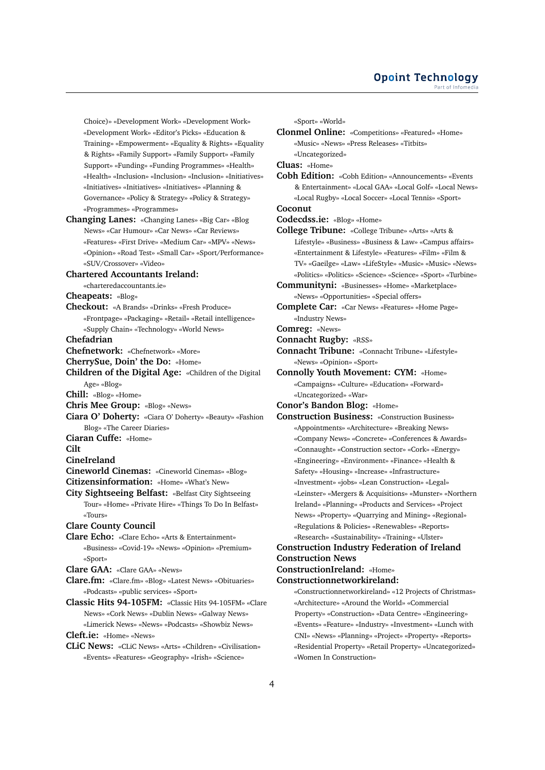Choice)» «Development Work» «Development Work» «Development Work» «Editor's Picks» «Education & Training» «Empowerment» «Equality & Rights» «Equality & Rights» «Family Support» «Family Support» «Family Support» «Funding» «Funding Programmes» «Health» «Health» «Inclusion» «Inclusion» «Inclusion» «Initiatives» «Initiatives» «Initiatives» «Initiatives» «Planning & Governance» «Policy & Strategy» «Policy & Strategy» «Programmes» «Programmes»

**Changing Lanes:** «Changing Lanes» «Big Car» «Blog News» «Car Humour» «Car News» «Car Reviews» «Features» «First Drive» «Medium Car» «MPV» «News» «Opinion» «Road Test» «Small Car» «Sport/Performance» «SUV/Crossover» «Video»

## **Chartered Accountants Ireland:**

- «charteredaccountants.ie»
- **Cheapeats:** «Blog»
- **Checkout:** «A Brands» «Drinks» «Fresh Produce» «Frontpage» «Packaging» «Retail» «Retail intelligence» «Supply Chain» «Technology» «World News»

**Chefadrian**

- **Chefnetwork:** «Chefnetwork» «More»
- **CherrySue, Doin' the Do:** «Home»
- **Children of the Digital Age:** «Children of the Digital Age» «Blog»

**Chill:** «Blog» «Home»

- **Chris Mee Group:** «Blog» «News»
- **Ciara O' Doherty:** «Ciara O' Doherty» «Beauty» «Fashion Blog» «The Career Diaries»
- **Ciaran Cuffe:** «Home»

**Cilt**

**CineIreland**

- **Cineworld Cinemas:** «Cineworld Cinemas» «Blog»
- **Citizensinformation:** «Home» «What's New»
- **City Sightseeing Belfast:** «Belfast City Sightseeing Tour» «Home» «Private Hire» «Things To Do In Belfast» «Tours»

### **Clare County Council**

**Clare Echo:** «Clare Echo» «Arts & Entertainment» «Business» «Covid-19» «News» «Opinion» «Premium» «Sport»

**Clare GAA:** «Clare GAA» «News»

- **Clare.fm:** «Clare.fm» «Blog» «Latest News» «Obituaries» «Podcasts» «public services» «Sport»
- **Classic Hits 94-105FM:** «Classic Hits 94-105FM» «Clare News» «Cork News» «Dublin News» «Galway News» «Limerick News» «News» «Podcasts» «Showbiz News» **Cleft.ie:** «Home» «News»
- **CLiC News:** «CLiC News» «Arts» «Children» «Civilisation» «Events» «Features» «Geography» «Irish» «Science»

«Sport» «World»

**Clonmel Online:** «Competitions» «Featured» «Home» «Music» «News» «Press Releases» «Titbits» «Uncategorized»

**Cluas:** «Home»

**Cobh Edition:** «Cobh Edition» «Announcements» «Events & Entertainment» «Local GAA» «Local Golf» «Local News» «Local Rugby» «Local Soccer» «Local Tennis» «Sport» **Coconut**

**Codecdss.ie:** «Blog» «Home»

- **College Tribune:** «College Tribune» «Arts» «Arts & Lifestyle» «Business» «Business & Law» «Campus affairs» «Entertainment & Lifestyle» «Features» «Film» «Film & TV» «Gaeilge» «Law» «LifeStyle» «Music» «Music» «News» «Politics» «Politics» «Science» «Science» «Sport» «Turbine»
- **Communityni:** «Businesses» «Home» «Marketplace» «News» «Opportunities» «Special offers»
- **Complete Car:** «Car News» «Features» «Home Page» «Industry News»

**Comreg:** «News»

- **Connacht Rugby:** «RSS»
- **Connacht Tribune:** «Connacht Tribune» «Lifestyle» «News» «Opinion» «Sport»
- **Connolly Youth Movement: CYM:** «Home» «Campaigns» «Culture» «Education» «Forward» «Uncategorized» «War»

**Conor's Bandon Blog:** «Home»

**Construction Business:** «Construction Business» «Appointments» «Architecture» «Breaking News» «Company News» «Concrete» «Conferences & Awards» «Connaught» «Construction sector» «Cork» «Energy» «Engineering» «Environment» «Finance» «Health & Safety» «Housing» «Increase» «Infrastructure» «Investment» «jobs» «Lean Construction» «Legal» «Leinster» «Mergers & Acquisitions» «Munster» «Northern Ireland» «Planning» «Products and Services» «Project News» «Property» «Quarrying and Mining» «Regional» «Regulations & Policies» «Renewables» «Reports» «Research» «Sustainability» «Training» «Ulster» **Construction Industry Federation of Ireland**

## **Construction News ConstructionIreland:** «Home»

**Constructionnetworkireland:**

«Constructionnetworkireland» «12 Projects of Christmas» «Architecture» «Around the World» «Commercial Property» «Construction» «Data Centre» «Engineering» «Events» «Feature» «Industry» «Investment» «Lunch with CNI» «News» «Planning» «Project» «Property» «Reports» «Residential Property» «Retail Property» «Uncategorized» «Women In Construction»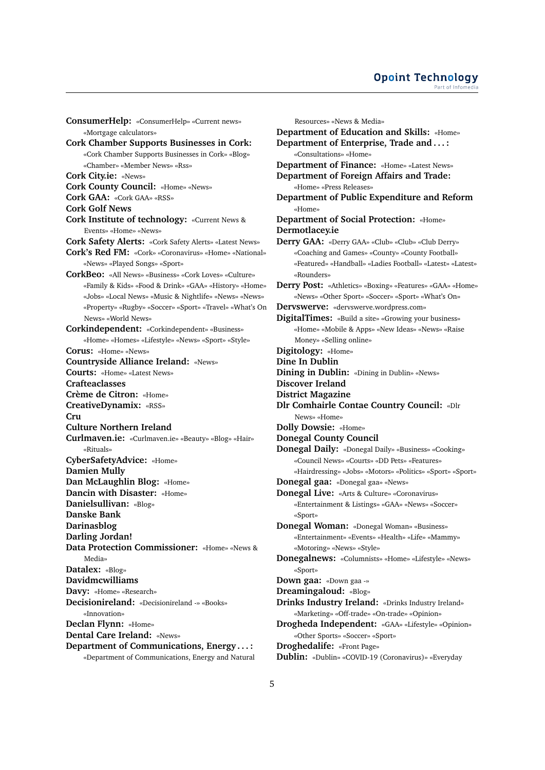### **Opoint Technology** Part of Infomer

**ConsumerHelp:** «ConsumerHelp» «Current news» «Mortgage calculators» **Cork Chamber Supports Businesses in Cork:** «Cork Chamber Supports Businesses in Cork» «Blog» «Chamber» «Member News» «Rss» **Cork City.ie:** «News» **Cork County Council:** «Home» «News» **Cork GAA:** «Cork GAA» «RSS» **Cork Golf News Cork Institute of technology:** «Current News & Events» «Home» «News» **Cork Safety Alerts:** «Cork Safety Alerts» «Latest News» **Cork's Red FM:** «Cork» «Coronavirus» «Home» «National» «News» «Played Songs» «Sport» **CorkBeo:** «All News» «Business» «Cork Loves» «Culture» «Family & Kids» «Food & Drink» «GAA» «History» «Home» «Jobs» «Local News» «Music & Nightlife» «News» «News» «Property» «Rugby» «Soccer» «Sport» «Travel» «What's On News» «World News» **Corkindependent:** «Corkindependent» «Business» «Home» «Homes» «Lifestyle» «News» «Sport» «Style» **Corus:** «Home» «News» **Countryside Alliance Ireland:** «News» **Courts:** «Home» «Latest News» **Crafteaclasses Crème de Citron:** «Home» **CreativeDynamix:** «RSS» **Cru Culture Northern Ireland Curlmaven.ie:** «Curlmaven.ie» «Beauty» «Blog» «Hair» «Rituals» **CyberSafetyAdvice:** «Home» **Damien Mully Dan McLaughlin Blog:** «Home» **Dancin with Disaster:** «Home» **Danielsullivan:** «Blog» **Danske Bank Darinasblog Darling Jordan! Data Protection Commissioner:** «Home» «News &  $Modio$ **Datalex:** «Blog» **Davidmcwilliams Davy:** «Home» «Research» **Decisionireland:** «Decisionireland -» «Books» «Innovation» **Declan Flynn:** «Home» **Dental Care Ireland:** «News» **Department of Communications, Energy . . . :** «Department of Communications, Energy and Natural

Resources» «News & Media» **Department of Education and Skills:** «Home» **Department of Enterprise, Trade and . . . :** «Consultations» «Home» **Department of Finance:** «Home» «Latest News» **Department of Foreign Affairs and Trade:** «Home» «Press Releases» **Department of Public Expenditure and Reform** «Home» **Department of Social Protection:** «Home» **Dermotlacey.ie Derry GAA:** «Derry GAA» «Club» «Club» «Club Derry» «Coaching and Games» «County» «County Football» «Featured» «Handball» «Ladies Football» «Latest» «Latest» «Rounders» **Derry Post:** «Athletics» «Boxing» «Features» «GAA» «Home» «News» «Other Sport» «Soccer» «Sport» «What's On» **Dervswerve:** «dervswerve.wordpress.com» **DigitalTimes:** «Build a site» «Growing your business» «Home» «Mobile & Apps» «New Ideas» «News» «Raise Money» «Selling online» **Digitology:** «Home» **Dine In Dublin Dining in Dublin:** «Dining in Dublin» «News» **Discover Ireland District Magazine Dlr Comhairle Contae Country Council:** «Dlr News» «Home» **Dolly Dowsie:** «Home» **Donegal County Council Donegal Daily:** «Donegal Daily» «Business» «Cooking» «Council News» «Courts» «DD Pets» «Features» «Hairdressing» «Jobs» «Motors» «Politics» «Sport» «Sport» **Donegal gaa:** «Donegal gaa» «News» **Donegal Live:** «Arts & Culture» «Coronavirus» «Entertainment & Listings» «GAA» «News» «Soccer» «Sport» **Donegal Woman:** «Donegal Woman» «Business» «Entertainment» «Events» «Health» «Life» «Mammy» «Motoring» «News» «Style» **Donegalnews:** «Columnists» «Home» «Lifestyle» «News» «Sport» **Down gaa:** «Down gaa -» **Dreamingaloud:** «Blog» **Drinks Industry Ireland:** «Drinks Industry Ireland» «Marketing» «Off-trade» «On-trade» «Opinion» **Drogheda Independent:** «GAA» «Lifestyle» «Opinion» «Other Sports» «Soccer» «Sport» **Droghedalife:** «Front Page» **Dublin:** «Dublin» «COVID-19 (Coronavirus)» «Everyday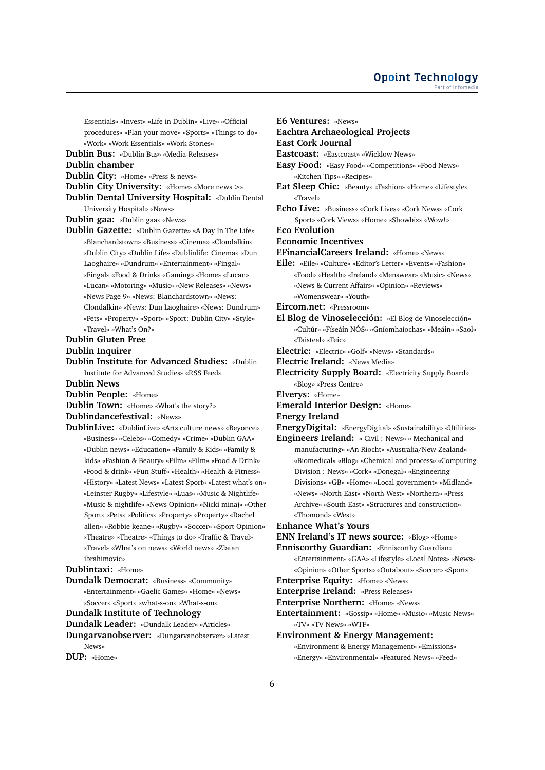Essentials» «Invest» «Life in Dublin» «Live» «Official procedures» «Plan your move» «Sports» «Things to do» «Work» «Work Essentials» «Work Stories»

**Dublin Bus:** «Dublin Bus» «Media-Releases»

**Dublin chamber**

**Dublin City:** «Home» «Press & news»

**Dublin City University:** «Home» «More news >»

**Dublin Dental University Hospital:** «Dublin Dental University Hospital» «News»

**Dublin gaa:** «Dublin gaa» «News»

**Dublin Gazette:** «Dublin Gazette» «A Day In The Life» «Blanchardstown» «Business» «Cinema» «Clondalkin» «Dublin City» «Dublin Life» «Dublinlife: Cinema» «Dun Laoghaire» «Dundrum» «Entertainment» «Fingal» «Fingal» «Food & Drink» «Gaming» «Home» «Lucan» «Lucan» «Motoring» «Music» «New Releases» «News» «News Page 9» «News: Blanchardstown» «News: Clondalkin» «News: Dun Laoghaire» «News: Dundrum» «Pets» «Property» «Sport» «Sport: Dublin City» «Style» «Travel» «What's On?»

## **Dublin Gluten Free**

**Dublin Inquirer**

## **Dublin Institute for Advanced Studies:** «Dublin Institute for Advanced Studies» «RSS Feed»

**Dublin News**

**Dublin People:** «Home»

**Dublin Town:** «Home» «What's the story?»

**Dublindancefestival:** «News»

**DublinLive:** «DublinLive» «Arts culture news» «Beyonce» «Business» «Celebs» «Comedy» «Crime» «Dublin GAA» «Dublin news» «Education» «Family & Kids» «Family & kids» «Fashion & Beauty» «Film» «Film» «Food & Drink» «Food & drink» «Fun Stuff» «Health» «Health & Fitness» «History» «Latest News» «Latest Sport» «Latest what's on» «Leinster Rugby» «Lifestyle» «Luas» «Music & Nightlife» «Music & nightlife» «News Opinion» «Nicki minaj» «Other Sport» «Pets» «Politics» «Property» «Property» «Rachel allen» «Robbie keane» «Rugby» «Soccer» «Sport Opinion» «Theatre» «Theatre» «Things to do» «Traffic & Travel» «Travel» «What's on news» «World news» «Zlatan ibrahimovic»

## **Dublintaxi:** «Home»

**Dundalk Democrat:** «Business» «Community» «Entertainment» «Gaelic Games» «Home» «News» «Soccer» «Sport» «what-s-on» «What-s-on»

**Dundalk Institute of Technology**

**Dundalk Leader:** «Dundalk Leader» «Articles»

**Dungarvanobserver:** «Dungarvanobserver» «Latest News»

**DUP:** «Home»

**Eachtra Archaeological Projects East Cork Journal Eastcoast:** «Eastcoast» «Wicklow News» **Easy Food:** «Easy Food» «Competitions» «Food News» «Kitchen Tips» «Recipes» **Eat Sleep Chic:** «Beauty» «Fashion» «Home» «Lifestyle» «Travel» **Echo Live:** «Business» «Cork Lives» «Cork News» «Cork Sport» «Cork Views» «Home» «Showbiz» «Wow!» **Eco Evolution Economic Incentives EFinancialCareers Ireland:** «Home» «News» **Eile:** «Eile» «Culture» «Editor's Letter» «Events» «Fashion» «Food» «Health» «Ireland» «Menswear» «Music» «News» «News & Current Affairs» «Opinion» «Reviews» «Womenswear» «Youth» **Eircom.net:** «Pressroom» **El Blog de Vinoselección:** «El Blog de Vinoselección» «Cultúr» «Físeáin NÓS» «Gníomhaíochas» «Meáin» «Saol» «Taisteal» «Teic» **Electric:** «Electric» «Golf» «News» «Standards» **Electric Ireland:** «News Media» **Electricity Supply Board:** «Electricity Supply Board» «Blog» «Press Centre» **Elverys:** «Home»

**Emerald Interior Design:** «Home»

**Energy Ireland**

**E6 Ventures:** «News»

- **EnergyDigital:** «EnergyDigital» «Sustainability» «Utilities»
- **Engineers Ireland:** « Civil : News» « Mechanical and manufacturing» «An Riocht» «Australia/New Zealand» «Biomedical» «Blog» «Chemical and process» «Computing Division : News» «Cork» «Donegal» «Engineering Divisions» «GB» «Home» «Local government» «Midland» «News» «North-East» «North-West» «Northern» «Press Archive» «South-East» «Structures and construction» «Thomond» «West»
- **Enhance What's Yours**

**ENN Ireland's IT news source:** «Blog» «Home»

**Enniscorthy Guardian:** «Enniscorthy Guardian» «Entertainment» «GAA» «Lifestyle» «Local Notes» «News» «Opinion» «Other Sports» «Outabout» «Soccer» «Sport»

**Enterprise Equity:** «Home» «News»

**Enterprise Ireland:** «Press Releases»

**Enterprise Northern:** «Home» «News»

**Entertainment:** «Gossip» «Home» «Music» «Music News» «TV» «TV News» «WTF»

**Environment & Energy Management:** «Environment & Energy Management» «Emissions» «Energy» «Environmental» «Featured News» «Feed»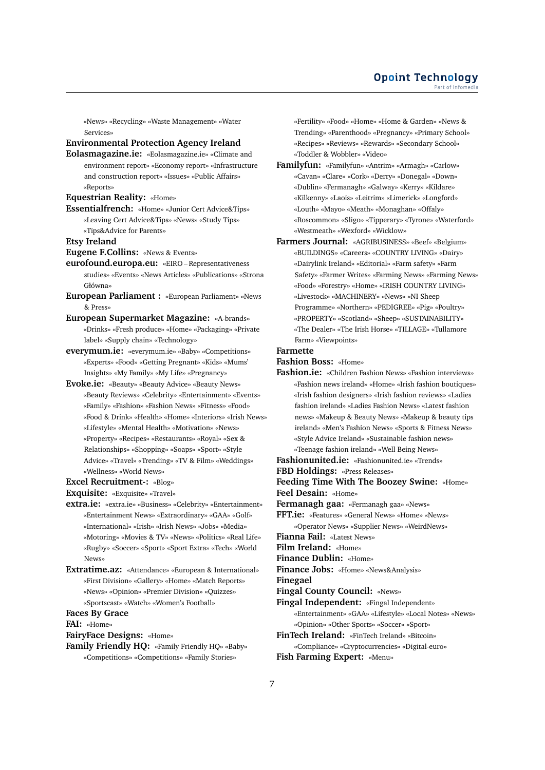«News» «Recycling» «Waste Management» «Water Services»

### **Environmental Protection Agency Ireland**

- **Eolasmagazine.ie:** «Eolasmagazine.ie» «Climate and environment report» «Economy report» «Infrastructure and construction report» «Issues» «Public Affairs» «Reports»
- **Equestrian Reality:** «Home»
- **Essentialfrench:** «Home» «Junior Cert Advice&Tips» «Leaving Cert Advice&Tips» «News» «Study Tips» «Tips&Advice for Parents»

**Etsy Ireland**

**Eugene F.Collins:** «News & Events»

**eurofound.europa.eu:** «EIRO – Representativeness studies» «Events» «News Articles» «Publications» «Strona Główna»

**European Parliament :** «European Parliament» «News & Press»

**European Supermarket Magazine:** «A-brands» «Drinks» «Fresh produce» «Home» «Packaging» «Private label» «Supply chain» «Technology»

- **everymum.ie:** «everymum.ie» «Baby» «Competitions» «Experts» «Food» «Getting Pregnant» «Kids» «Mums' Insights» «My Family» «My Life» «Pregnancy»
- **Evoke.ie:** «Beauty» «Beauty Advice» «Beauty News» «Beauty Reviews» «Celebrity» «Entertainment» «Events» «Family» «Fashion» «Fashion News» «Fitness» «Food» «Food & Drink» «Health» «Home» «Interiors» «Irish News» «Lifestyle» «Mental Health» «Motivation» «News» «Property» «Recipes» «Restaurants» «Royal» «Sex & Relationships» «Shopping» «Soaps» «Sport» «Style Advice» «Travel» «Trending» «TV & Film» «Weddings» «Wellness» «World News»

**Excel Recruitment-:** «Blog»

**Exquisite:** «Exquisite» «Travel»

- **extra.ie:** «extra.ie» «Business» «Celebrity» «Entertainment» «Entertainment News» «Extraordinary» «GAA» «Golf» «International» «Irish» «Irish News» «Jobs» «Media» «Motoring» «Movies & TV» «News» «Politics» «Real Life» «Rugby» «Soccer» «Sport» «Sport Extra» «Tech» «World News»
- **Extratime.az:** «Attendance» «European & International» «First Division» «Gallery» «Home» «Match Reports» «News» «Opinion» «Premier Division» «Quizzes» «Sportscast» «Watch» «Women's Football»

**Faces By Grace**

**FAI:** «Home»

**FairyFace Designs:** «Home»

**Family Friendly HQ:** «Family Friendly HQ» «Baby» «Competitions» «Competitions» «Family Stories»

«Fertility» «Food» «Home» «Home & Garden» «News & Trending» «Parenthood» «Pregnancy» «Primary School» «Recipes» «Reviews» «Rewards» «Secondary School» «Toddler & Wobbler» «Video»

- **Familyfun:** «Familyfun» «Antrim» «Armagh» «Carlow» «Cavan» «Clare» «Cork» «Derry» «Donegal» «Down» «Dublin» «Fermanagh» «Galway» «Kerry» «Kildare» «Kilkenny» «Laois» «Leitrim» «Limerick» «Longford» «Louth» «Mayo» «Meath» «Monaghan» «Offaly» «Roscommon» «Sligo» «Tipperary» «Tyrone» «Waterford» «Westmeath» «Wexford» «Wicklow»
- **Farmers Journal:** «AGRIBUSINESS» «Beef» «Belgium» «BUILDINGS» «Careers» «COUNTRY LIVING» «Dairy» «Dairylink Ireland» «Editorial» «Farm safety» «Farm Safety» «Farmer Writes» «Farming News» «Farming News» «Food» «Forestry» «Home» «IRISH COUNTRY LIVING» «Livestock» «MACHINERY» «News» «NI Sheep Programme» «Northern» «PEDIGREE» «Pig» «Poultry» «PROPERTY» «Scotland» «Sheep» «SUSTAINABILITY» «The Dealer» «The Irish Horse» «TILLAGE» «Tullamore Farm» «Viewpoints»

#### **Farmette**

**Fashion Boss:** «Home»

**Fashion.ie:** «Children Fashion News» «Fashion interviews» «Fashion news ireland» «Home» «Irish fashion boutiques» «Irish fashion designers» «Irish fashion reviews» «Ladies fashion ireland» «Ladies Fashion News» «Latest fashion news» «Makeup & Beauty News» «Makeup & beauty tips ireland» «Men's Fashion News» «Sports & Fitness News» «Style Advice Ireland» «Sustainable fashion news» «Teenage fashion ireland» «Well Being News»

**Fashionunited.ie:** «Fashionunited.ie» «Trends»

**FBD Holdings:** «Press Releases»

**Feeding Time With The Boozey Swine:** «Home» **Feel Desain:** «Home»

**Fermanagh gaa:** «Fermanagh gaa» «News»

**FFT.ie:** «Features» «General News» «Home» «News» «Operator News» «Supplier News» «WeirdNews»

**Fianna Fail:** «Latest News»

**Film Ireland:** «Home»

**Finance Dublin:** «Home»

**Finance Jobs:** «Home» «News&Analysis»

**Finegael**

**Fingal County Council:** «News»

- **Fingal Independent:** «Fingal Independent»
- «Entertainment» «GAA» «Lifestyle» «Local Notes» «News» «Opinion» «Other Sports» «Soccer» «Sport»

**FinTech Ireland:** «FinTech Ireland» «Bitcoin»

«Compliance» «Cryptocurrencies» «Digital-euro»

**Fish Farming Expert:** «Menu»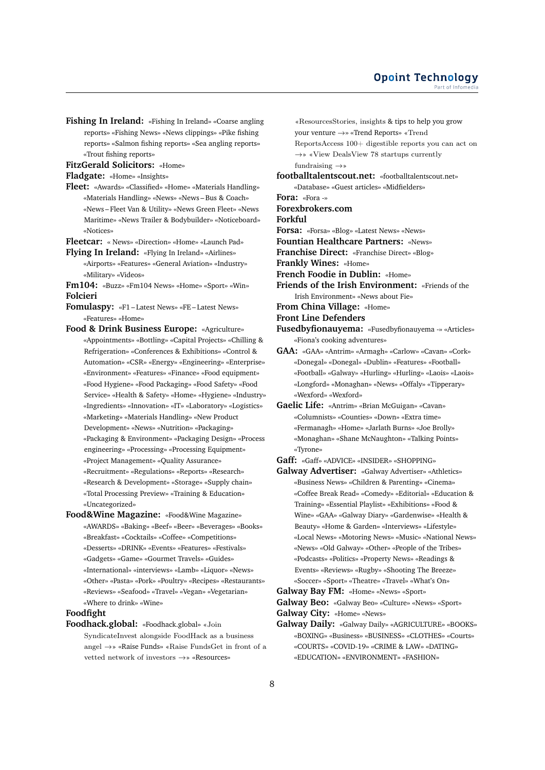**Fishing In Ireland:** «Fishing In Ireland» «Coarse angling reports» «Fishing News» «News clippings» «Pike fishing reports» «Salmon fishing reports» «Sea angling reports» «Trout fishing reports»

**FitzGerald Solicitors:** «Home»

**Fladgate:** «Home» «Insights»

**Fleet:** «Awards» «Classified» «Home» «Materials Handling» «Materials Handling» «News» «News – Bus & Coach» «News – Fleet Van & Utility» «News Green Fleet» «News Maritime» «News Trailer & Bodybuilder» «Noticeboard» «Notices»

**Fleetcar:** « News» «Direction» «Home» «Launch Pad»

- **Flying In Ireland:** «Flying In Ireland» «Airlines» «Airports» «Features» «General Aviation» «Industry» «Military» «Videos»
- **Fm104:** «Buzz» «Fm104 News» «Home» «Sport» «Win» **Folcieri**
- **Fomulaspy:** «F1 Latest News» «FE Latest News» «Features» «Home»
- **Food & Drink Business Europe:** «Agriculture» «Appointments» «Bottling» «Capital Projects» «Chilling & Refrigeration» «Conferences & Exhibitions» «Control & Automation» «CSR» «Energy» «Engineering» «Enterprise» «Environment» «Features» «Finance» «Food equipment» «Food Hygiene» «Food Packaging» «Food Safety» «Food Service» «Health & Safety» «Home» «Hygiene» «Industry» «Ingredients» «Innovation» «IT» «Laboratory» «Logistics» «Marketing» «Materials Handling» «New Product Development» «News» «Nutrition» «Packaging» «Packaging & Environment» «Packaging Design» «Process engineering» «Processing» «Processing Equipment» «Project Management» «Quality Assurance» «Recruitment» «Regulations» «Reports» «Research» «Research & Development» «Storage» «Supply chain» «Total Processing Preview» «Training & Education» «Uncategorized»
- **Food&Wine Magazine:** «Food&Wine Magazine» «AWARDS» «Baking» «Beef» «Beer» «Beverages» «Books» «Breakfast» «Cocktails» «Coffee» «Competitions» «Desserts» «DRINK» «Events» «Features» «Festivals» «Gadgets» «Game» «Gourmet Travels» «Guides» «International» «interviews» «Lamb» «Liquor» «News» «Other» «Pasta» «Pork» «Poultry» «Recipes» «Restaurants» «Reviews» «Seafood» «Travel» «Vegan» «Vegetarian» «Where to drink» «Wine»

## **Foodfight**

**Foodhack.global:** «Foodhack.global» «Join SyndicateInvest alongside FoodHack as a business angel →» «Raise Funds» «Raise FundsGet in front of a vetted network of investors →» «Resources»

«ResourcesStories, insights & tips to help you grow your venture →» «Trend Reports» «Trend ReportsAccess 100+ digestible reports you can act on →» «View DealsView 78 startups currently fundraising  $\rightarrow$ »

**footballtalentscout.net:** «footballtalentscout.net»

«Database» «Guest articles» «Midfielders»

**Fora:** «Fora -»

**Forexbrokers.com**

**Forkful**

- **Forsa:** «Forsa» «Blog» «Latest News» «News»
- **Fountian Healthcare Partners:** «News»
- **Franchise Direct:** «Franchise Direct» «Blog»

**Frankly Wines:** «Home»

**French Foodie in Dublin:** «Home»

- **Friends of the Irish Environment:** «Friends of the Irish Environment» «News about Fie»
- **From China Village:** «Home»
- **Front Line Defenders**
- **Fusedbyfionauyema:** «Fusedbyfionauyema -» «Articles» «Fiona's cooking adventures»
- **GAA:** «GAA» «Antrim» «Armagh» «Carlow» «Cavan» «Cork» «Donegal» «Donegal» «Dublin» «Features» «Football» «Football» «Galway» «Hurling» «Hurling» «Laois» «Laois» «Longford» «Monaghan» «News» «Offaly» «Tipperary» «Wexford» «Wexford»
- **Gaelic Life:** «Antrim» «Brian McGuigan» «Cavan» «Columnists» «Counties» «Down» «Extra time» «Fermanagh» «Home» «Jarlath Burns» «Joe Brolly» «Monaghan» «Shane McNaughton» «Talking Points» «Tyrone»

**Gaff:** «Gaff» «ADVICE» «INSIDER» «SHOPPING»

- **Galway Advertiser:** «Galway Advertiser» «Athletics» «Business News» «Children & Parenting» «Cinema» «Coffee Break Read» «Comedy» «Editorial» «Education & Training» «Essential Playlist» «Exhibitions» «Food & Wine» «GAA» «Galway Diary» «Gardenwise» «Health & Beauty» «Home & Garden» «Interviews» «Lifestyle» «Local News» «Motoring News» «Music» «National News» «News» «Old Galway» «Other» «People of the Tribes» «Podcasts» «Politics» «Property News» «Readings & Events» «Reviews» «Rugby» «Shooting The Breeze» «Soccer» «Sport» «Theatre» «Travel» «What's On»
- **Galway Bay FM:** «Home» «News» «Sport»

**Galway Beo:** «Galway Beo» «Culture» «News» «Sport» **Galway City:** «Home» «News»

- 
- **Galway Daily:** «Galway Daily» «AGRICULTURE» «BOOKS» «BOXING» «Business» «BUSINESS» «CLOTHES» «Courts» «COURTS» «COVID-19» «CRIME & LAW» «DATING» «EDUCATION» «ENVIRONMENT» «FASHION»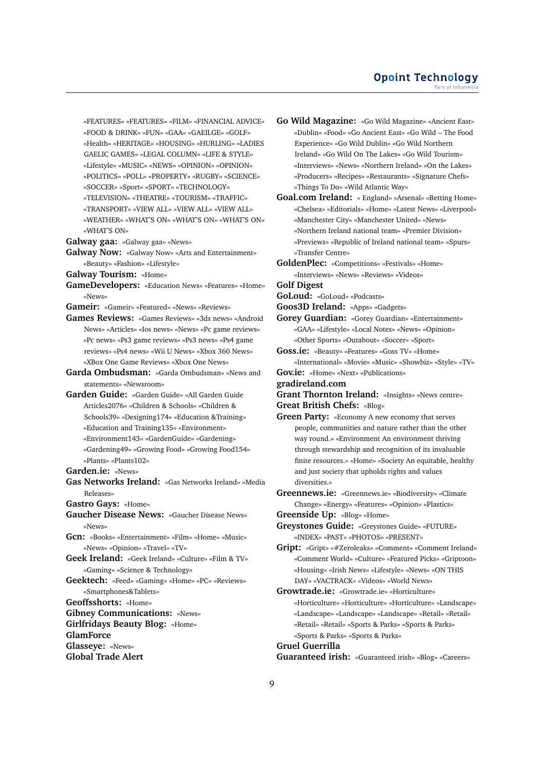«FEATURES» «FEATURES» «FILM» «FINANCIAL ADVICE» «FOOD & DRINK» «FUN» «GAA» «GAEILGE» «GOLF» «Health» «HERITAGE» «HOUSING» «HURLING» «LADIES GAELIC GAMES» «LEGAL COLUMN» «LIFE & STYLE» «Lifestyle» «MUSIC» «NEWS» «OPINION» «OPINION»

«POLITICS» «POLL» «PROPERTY» «RUGBY» «SCIENCE»

«SOCCER» «Sport» «SPORT» «TECHNOLOGY»

«TELEVISION» «THEATRE» «TOURISM» «TRAFFIC»

«TRANSPORT» «VIEW ALL» «VIEW ALL» «VIEW ALL»

«WEATHER» «WHAT'S ON» «WHAT'S ON» «WHAT'S ON» «WHAT'S ON»

**Galway gaa:** «Galway gaa» «News»

**Galway Now:** «Galway Now» «Arts and Entertainment» «Beauty» «Fashion» «Lifestyle»

**Galway Tourism:** «Home»

**GameDevelopers:** «Education News» «Features» «Home» «News»

**Gameir:** «Gameir» «Featured» «News» «Reviews»

**Games Reviews:** «Games Reviews» «3ds news» «Android News» «Articles» «Ios news» «News» «Pc game reviews» «Pc news» «Ps3 game reviews» «Ps3 news» «Ps4 game reviews» «Ps4 news» «Wii U News» «Xbox 360 News» «XBox One Game Reviews» «Xbox One News»

**Garda Ombudsman:** «Garda Ombudsman» «News and statements» «Newsroom»

**Garden Guide:** «Garden Guide» «All Garden Guide Articles2076» «Children & Schools» «Children & Schools39» «Designing174» «Education &Training» «Education and Training135» «Environment» «Environment143» «GardenGuide» «Gardening» «Gardening49» «Growing Food» «Growing Food154» «Plants» «Plants102»

**Garden.ie:** «News»

**Gas Networks Ireland:** «Gas Networks Ireland» «Media Releases»

**Gastro Gays:** «Home»

**Gaucher Disease News:** «Gaucher Disease News» «News»

**Gcn:** «Books» «Entertainment» «Film» «Home» «Music» «News» «Opinion» «Travel» «TV»

**Geek Ireland:** «Geek Ireland» «Culture» «Film & TV» «Gaming» «Science & Technology»

**Geektech:** «Feed» «Gaming» «Home» «PC» «Reviews» «Smartphones&Tablets»

**Geoffsshorts:** «Home»

**Gibney Communications:** «News»

**Girlfridays Beauty Blog:** «Home»

**GlamForce**

**Glasseye:** «News»

**Global Trade Alert**

**Go Wild Magazine:** «Go Wild Magazine» «Ancient East» «Dublin» «Food» «Go Ancient East» «Go Wild – The Food Experience» «Go Wild Dublin» «Go Wild Northern Ireland» «Go Wild On The Lakes» «Go Wild Tourism» «Interviews» «News» «Northern Ireland» «On the Lakes» «Producers» «Recipes» «Restaurants» «Signature Chefs» «Things To Do» «Wild Atlantic Way»

**Goal.com Ireland:** « England» «Arsenal» «Betting Home» «Chelsea» «Editorials» «Home» «Latest News» «Liverpool» «Manchester City» «Manchester United» «News» «Northern Ireland national team» «Premier Division» «Previews» «Republic of Ireland national team» «Spurs» «Transfer Centre»

**GoldenPlec:** «Competitions» «Festivals» «Home» «Interviews» «News» «Reviews» «Videos»

**Golf Digest**

**GoLoud:** «GoLoud» «Podcasts»

**Goos3D Ireland:** «Apps» «Gadgets»

**Gorey Guardian:** «Gorey Guardian» «Entertainment» «GAA» «Lifestyle» «Local Notes» «News» «Opinion» «Other Sports» «Outabout» «Soccer» «Sport»

**Goss.ie:** «Beauty» «Features» «Goss TV» «Home» «International» «Movie» «Music» «Showbiz» «Style» «TV»

**Gov.ie:** «Home» «Next» «Publications»

**gradireland.com**

**Grant Thornton Ireland:** «Insights» «News centre» **Great British Chefs:** «Blog»

**Green Party:** «Economy A new economy that serves people, communities and nature rather than the other way round.» «Environment An environment thriving through stewardship and recognition of its invaluable finite resources.» «Home» «Society An equitable, healthy and just society that upholds rights and values diversities.»

**Greennews.ie:** «Greennews.ie» «Biodiversity» «Climate Change» «Energy» «Features» «Opinion» «Plastics»

**Greenside Up:** «Blog» «Home»

**Greystones Guide:** «Greystones Guide» «FUTURE» «INDEX» «PAST» «PHOTOS» «PRESENT»

**Gript:** «Gript» «#Zeroleaks» «Comment» «Comment Ireland» «Comment World» «Culture» «Featured Picks» «Griptoon» «Housing» «Irish News» «Lifestyle» «News» «ON THIS DAY» «VACTRACK» «Videos» «World News»

**Growtrade.ie:** «Growtrade.ie» «Horticulture» «Horticulture» «Horticulture» «Horticulture» «Landscape» «Landscape» «Landscape» «Landscape» «Retail» «Retail» «Retail» «Retail» «Sports & Parks» «Sports & Parks» «Sports & Parks» «Sports & Parks»

**Gruel Guerrilla**

**Guaranteed irish:** «Guaranteed irish» «Blog» «Careers»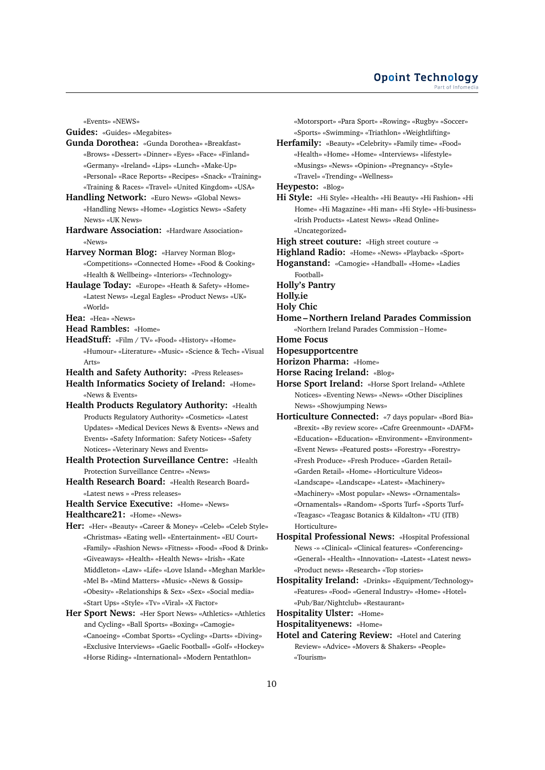### **Opoint Technology** Part of Infomed

«Events» «NEWS»

**Guides:** «Guides» «Megabites»

- **Gunda Dorothea:** «Gunda Dorothea» «Breakfast» «Brows» «Dessert» «Dinner» «Eyes» «Face» «Finland» «Germany» «Ireland» «Lips» «Lunch» «Make-Up» «Personal» «Race Reports» «Recipes» «Snack» «Training» «Training & Races» «Travel» «United Kingdom» «USA»
- **Handling Network:** «Euro News» «Global News» «Handling News» «Home» «Logistics News» «Safety News» «UK News»
- **Hardware Association:** «Hardware Association» «News»
- **Harvey Norman Blog:** «Harvey Norman Blog» «Competitions» «Connected Home» «Food & Cooking» «Health & Wellbeing» «Interiors» «Technology»
- **Haulage Today:** «Europe» «Heath & Safety» «Home» «Latest News» «Legal Eagles» «Product News» «UK» «World»
- **Hea:** «Hea» «News»

**Head Rambles:** «Home»

- **HeadStuff:** «Film / TV» «Food» «History» «Home» «Humour» «Literature» «Music» «Science & Tech» «Visual Arts»
- **Health and Safety Authority:** «Press Releases»
- **Health Informatics Society of Ireland:** «Home» «News & Events»
- **Health Products Regulatory Authority:** «Health Products Regulatory Authority» «Cosmetics» «Latest Updates» «Medical Devices News & Events» «News and Events» «Safety Information: Safety Notices» «Safety Notices» «Veterinary News and Events»
- **Health Protection Surveillance Centre:** «Health Protection Surveillance Centre» «News»
- **Health Research Board:** «Health Research Board» «Latest news » «Press releases»
- **Health Service Executive:** «Home» «News»

**Healthcare21:** «Home» «News»

- **Her:** «Her» «Beauty» «Career & Money» «Celeb» «Celeb Style» «Christmas» «Eating well» «Entertainment» «EU Court» «Family» «Fashion News» «Fitness» «Food» «Food & Drink» «Giveaways» «Health» «Health News» «Irish» «Kate Middleton» «Law» «Life» «Love Island» «Meghan Markle» «Mel B» «Mind Matters» «Music» «News & Gossip» «Obesity» «Relationships & Sex» «Sex» «Social media» «Start Ups» «Style» «Tv» «Viral» «X Factor»
- **Her Sport News:** «Her Sport News» «Athletics» «Athletics and Cycling» «Ball Sports» «Boxing» «Camogie» «Canoeing» «Combat Sports» «Cycling» «Darts» «Diving» «Exclusive Interviews» «Gaelic Football» «Golf» «Hockey» «Horse Riding» «International» «Modern Pentathlon»

«Motorsport» «Para Sport» «Rowing» «Rugby» «Soccer» «Sports» «Swimming» «Triathlon» «Weightlifting»

**Herfamily:** «Beauty» «Celebrity» «Family time» «Food» «Health» «Home» «Home» «Interviews» «lifestyle» «Musings» «News» «Opinion» «Pregnancy» «Style» «Travel» «Trending» «Wellness»

**Heypesto:** «Blog»

**Hi Style:** «Hi Style» «Health» «Hi Beauty» «Hi Fashion» «Hi Home» «Hi Magazine» «Hi man» «Hi Style» «Hi-business» «Irish Products» «Latest News» «Read Online» «Uncategorized»

**High street couture:** «High street couture -»

- **Highland Radio:** «Home» «News» «Playback» «Sport»
- **Hoganstand:** «Camogie» «Handball» «Home» «Ladies Football»

**Holly's Pantry**

**Holly.ie**

**Holy Chic**

**Home – Northern Ireland Parades Commission**

«Northern Ireland Parades Commission – Home»

**Home Focus**

- **Hopesupportcentre**
- **Horizon Pharma:** «Home»
- **Horse Racing Ireland:** «Blog»
- **Horse Sport Ireland:** «Horse Sport Ireland» «Athlete Notices» «Eventing News» «News» «Other Disciplines News» «Showjumping News»
- **Horticulture Connected:** «7 days popular» «Bord Bia» «Brexit» «By review score» «Cafre Greenmount» «DAFM» «Education» «Education» «Environment» «Environment» «Event News» «Featured posts» «Forestry» «Forestry» «Fresh Produce» «Fresh Produce» «Garden Retail» «Garden Retail» «Home» «Horticulture Videos» «Landscape» «Landscape» «Latest» «Machinery» «Machinery» «Most popular» «News» «Ornamentals» «Ornamentals» «Random» «Sports Turf» «Sports Turf» «Teagasc» «Teagasc Botanics & Kildalton» «TU (ITB) Horticulture»
- **Hospital Professional News:** «Hospital Professional News -» «Clinical» «Clinical features» «Conferencing» «General» «Health» «Innovation» «Latest» «Latest news» «Product news» «Research» «Top stories»
- **Hospitality Ireland:** «Drinks» «Equipment/Technology» «Features» «Food» «General Industry» «Home» «Hotel» «Pub/Bar/Nightclub» «Restaurant»

**Hospitality Ulster:** «Home»

**Hospitalityenews:** «Home»

**Hotel and Catering Review:** «Hotel and Catering Review» «Advice» «Movers & Shakers» «People» «Tourism»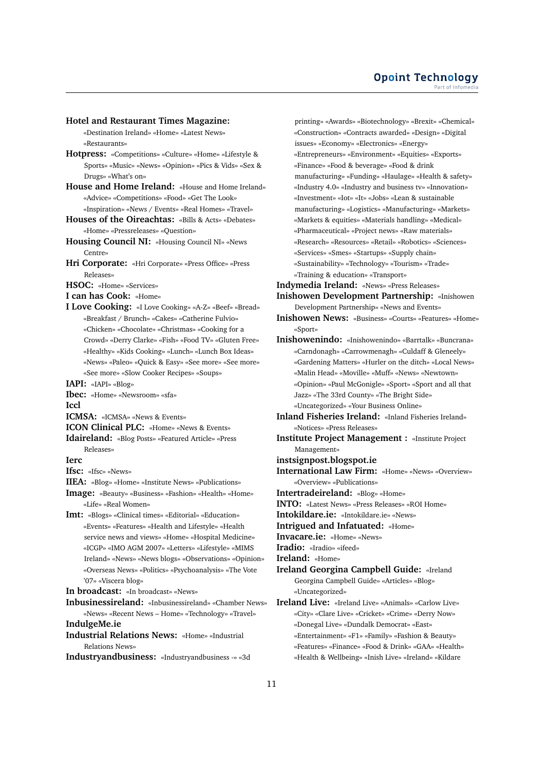## **Hotel and Restaurant Times Magazine:**

«Destination Ireland» «Home» «Latest News» «Restaurants»

- **Hotpress:** «Competitions» «Culture» «Home» «Lifestyle & Sports» «Music» «News» «Opinion» «Pics & Vids» «Sex & Drugs» «What's on»
- **House and Home Ireland:** «House and Home Ireland» «Advice» «Competitions» «Food» «Get The Look» «Inspiration» «News / Events» «Real Homes» «Travel»
- **Houses of the Oireachtas:** «Bills & Acts» «Debates» «Home» «Pressreleases» «Question»
- **Housing Council NI:** «Housing Council NI» «News Centre»
- **Hri Corporate:** «Hri Corporate» «Press Office» «Press Releases»
- **HSOC:** «Home» «Services»
- **I can has Cook:** «Home»
- **I Love Cooking:** «I Love Cooking» «A-Z» «Beef» «Bread» «Breakfast / Brunch» «Cakes» «Catherine Fulvio» «Chicken» «Chocolate» «Christmas» «Cooking for a Crowd» «Derry Clarke» «Fish» «Food TV» «Gluten Free» «Healthy» «Kids Cooking» «Lunch» «Lunch Box Ideas» «News» «Paleo» «Quick & Easy» «See more» «See more» «See more» «Slow Cooker Recipes» «Soups»
- **IAPI:** «IAPI» «Blog»
- **Ibec:** «Home» «Newsroom» «sfa» **Iccl**
- **ICMSA:** «ICMSA» «News & Events»
- **ICON Clinical PLC:** «Home» «News & Events»
- **Idaireland:** «Blog Posts» «Featured Article» «Press Releases»
- **Ierc**
- **Ifsc:** «Ifsc» «News»
- **IIEA:** «Blog» «Home» «Institute News» «Publications»
- **Image:** «Beauty» «Business» «Fashion» «Health» «Home» «Life» «Real Women»
- **Imt:** «Blogs» «Clinical times» «Editorial» «Education» «Events» «Features» «Health and Lifestyle» «Health service news and views» «Home» «Hospital Medicine» «ICGP» «IMO AGM 2007» «Letters» «Lifestyle» «MIMS Ireland» «News» «News blogs» «Observations» «Opinion» «Overseas News» «Politics» «Psychoanalysis» «The Vote '07» «Viscera blog»

**In broadcast:** «In broadcast» «News»

- **Inbusinessireland:** «Inbusinessireland» «Chamber News» «News» «Recent News – Home» «Technology» «Travel» **IndulgeMe.ie**
- 
- **Industrial Relations News:** «Home» «Industrial Relations News»
- **Industryandbusiness:** «Industryandbusiness -» «3d

printing» «Awards» «Biotechnology» «Brexit» «Chemical» «Construction» «Contracts awarded» «Design» «Digital issues» «Economy» «Electronics» «Energy» «Entrepreneurs» «Environment» «Equities» «Exports» «Finance» «Food & beverage» «Food & drink manufacturing» «Funding» «Haulage» «Health & safety» «Industry 4.0» «Industry and business tv» «Innovation» «Investment» «Iot» «It» «Jobs» «Lean & sustainable manufacturing» «Logistics» «Manufacturing» «Markets» «Markets & equities» «Materials handling» «Medical» «Pharmaceutical» «Project news» «Raw materials» «Research» «Resources» «Retail» «Robotics» «Sciences» «Services» «Smes» «Startups» «Supply chain» «Sustainability» «Technology» «Tourism» «Trade» «Training & education» «Transport»

**Indymedia Ireland:** «News» «Press Releases» **Inishowen Development Partnership:** «Inishowen Development Partnership» «News and Events»

- **Inishowen News:** «Business» «Courts» «Features» «Home» «Sport»
- **Inishowenindo:** «Inishowenindo» «Barrtalk» «Buncrana» «Carndonagh» «Carrowmenagh» «Culdaff & Gleneely» «Gardening Matters» «Hurler on the ditch» «Local News» «Malin Head» «Moville» «Muff» «News» «Newtown» «Opinion» «Paul McGonigle» «Sport» «Sport and all that Jazz» «The 33rd County» «The Bright Side» «Uncategorized» «Your Business Online»
- **Inland Fisheries Ireland:** «Inland Fisheries Ireland» «Notices» «Press Releases»
- **Institute Project Management :** «Institute Project Management»
- **instsignpost.blogspot.ie**
- **International Law Firm:** «Home» «News» «Overview» «Overview» «Publications»

**Intertradeireland:** «Blog» «Home»

- **INTO:** «Latest News» «Press Releases» «ROI Home»
- **Intokildare.ie:** «Intokildare.ie» «News»
- **Intrigued and Infatuated:** «Home»
- **Invacare.ie:** «Home» «News»

**Iradio:** «Iradio» «ifeed»

- **Ireland:** «Home»
- **Ireland Georgina Campbell Guide:** «Ireland Georgina Campbell Guide» «Articles» «Blog» «Uncategorized»
- **Ireland Live:** «Ireland Live» «Animals» «Carlow Live» «City» «Clare Live» «Cricket» «Crime» «Derry Now» «Donegal Live» «Dundalk Democrat» «East» «Entertainment» «F1» «Family» «Fashion & Beauty» «Features» «Finance» «Food & Drink» «GAA» «Health» «Health & Wellbeing» «Inish Live» «Ireland» «Kildare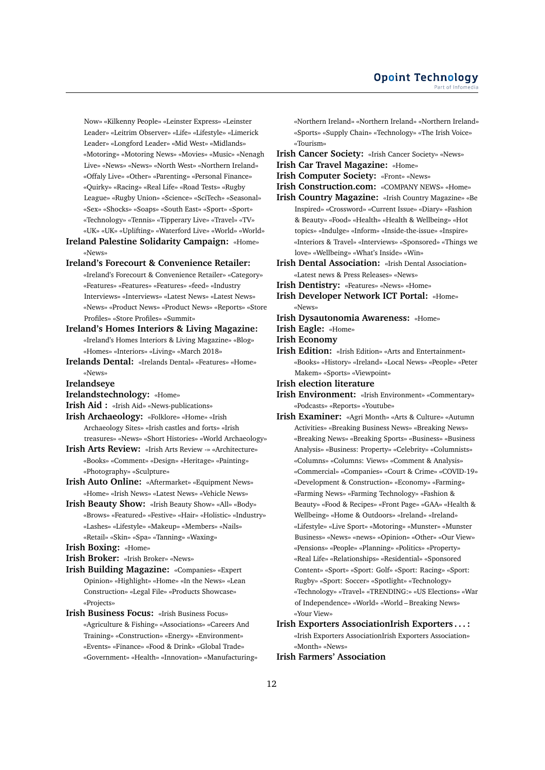Now» «Kilkenny People» «Leinster Express» «Leinster Leader» «Leitrim Observer» «Life» «Lifestyle» «Limerick Leader» «Longford Leader» «Mid West» «Midlands» «Motoring» «Motoring News» «Movies» «Music» «Nenagh Live» «News» «News» «North West» «Northern Ireland» «Offaly Live» «Other» «Parenting» «Personal Finance» «Quirky» «Racing» «Real Life» «Road Tests» «Rugby League» «Rugby Union» «Science» «SciTech» «Seasonal» «Sex» «Shocks» «Soaps» «South East» «Sport» «Sport» «Technology» «Tennis» «Tipperary Live» «Travel» «TV» «UK» «UK» «Uplifting» «Waterford Live» «World» «World»

**Ireland Palestine Solidarity Campaign:** «Home» «News»

- **Ireland's Forecourt & Convenience Retailer:**
	- «Ireland's Forecourt & Convenience Retailer» «Category» «Features» «Features» «Features» «feed» «Industry Interviews» «Interviews» «Latest News» «Latest News» «News» «Product News» «Product News» «Reports» «Store Profiles» «Store Profiles» «Summit»
- **Ireland's Homes Interiors & Living Magazine:** «Ireland's Homes Interiors & Living Magazine» «Blog» «Homes» «Interiors» «Living» «March 2018»
- **Irelands Dental:** «Irelands Dental» «Features» «Home» «News»
- **Irelandseye**
- **Irelandstechnology:** «Home»
- **Irish Aid :** «Irish Aid» «News-publications»
- **Irish Archaeology:** «Folklore» «Home» «Irish Archaeology Sites» «Irish castles and forts» «Irish treasures» «News» «Short Histories» «World Archaeology»
- **Irish Arts Review:** «Irish Arts Review -» «Architecture» «Books» «Comment» «Design» «Heritage» «Painting» «Photography» «Sculpture»
- **Irish Auto Online:** «Aftermarket» «Equipment News» «Home» «Irish News» «Latest News» «Vehicle News»
- **Irish Beauty Show:** «Irish Beauty Show» «All» «Body» «Brows» «Featured» «Festive» «Hair» «Holistic» «Industry» «Lashes» «Lifestyle» «Makeup» «Members» «Nails» «Retail» «Skin» «Spa» «Tanning» «Waxing»
- **Irish Boxing:** «Home»
- **Irish Broker:** «Irish Broker» «News»
- **Irish Building Magazine:** «Companies» «Expert Opinion» «Highlight» «Home» «In the News» «Lean Construction» «Legal File» «Products Showcase» «Projects»
- **Irish Business Focus:** «Irish Business Focus» «Agriculture & Fishing» «Associations» «Careers And Training» «Construction» «Energy» «Environment» «Events» «Finance» «Food & Drink» «Global Trade» «Government» «Health» «Innovation» «Manufacturing»

«Northern Ireland» «Northern Ireland» «Northern Ireland» «Sports» «Supply Chain» «Technology» «The Irish Voice» «Tourism»

- **Irish Cancer Society:** «Irish Cancer Society» «News» **Irish Car Travel Magazine:** «Home»
- **Irish Computer Society:** «Front» «News»
- **Irish Construction.com:** «COMPANY NEWS» «Home»
- **Irish Country Magazine:** «Irish Country Magazine» «Be Inspired» «Crossword» «Current Issue» «Diary» «Fashion & Beauty» «Food» «Health» «Health & Wellbeing» «Hot topics» «Indulge» «Inform» «Inside-the-issue» «Inspire» «Interiors & Travel» «Interviews» «Sponsored» «Things we love» «Wellbeing» «What's Inside» «Win»
- **Irish Dental Association:** «Irish Dental Association» «Latest news & Press Releases» «News»
- **Irish Dentistry:** «Features» «News» «Home»
- **Irish Developer Network ICT Portal:** «Home» «News»
- **Irish Dysautonomia Awareness:** «Home»
- **Irish Eagle:** «Home»

**Irish Economy**

- **Irish Edition:** «Irish Edition» «Arts and Entertainment» «Books» «History» «Ireland» «Local News» «People» «Peter Makem» «Sports» «Viewpoint»
- **Irish election literature**
- **Irish Environment:** «Irish Environment» «Commentary» «Podcasts» «Reports» «Youtube»
- **Irish Examiner:** «Agri Month» «Arts & Culture» «Autumn Activities» «Breaking Business News» «Breaking News» «Breaking News» «Breaking Sports» «Business» «Business Analysis» «Business: Property» «Celebrity» «Columnists» «Columns» «Columns: Views» «Comment & Analysis» «Commercial» «Companies» «Court & Crime» «COVID-19» «Development & Construction» «Economy» «Farming» «Farming News» «Farming Technology» «Fashion & Beauty» «Food & Recipes» «Front Page» «GAA» «Health & Wellbeing» «Home & Outdoors» «Ireland» «Ireland» «Lifestyle» «Live Sport» «Motoring» «Munster» «Munster Business» «News» «news» «Opinion» «Other» «Our View» «Pensions» «People» «Planning» «Politics» «Property» «Real Life» «Relationships» «Residential» «Sponsored Content» «Sport» «Sport: Golf» «Sport: Racing» «Sport: Rugby» «Sport: Soccer» «Spotlight» «Technology» «Technology» «Travel» «TRENDING:» «US Elections» «War of Independence» «World» «World – Breaking News» «Your View»

**Irish Exporters AssociationIrish Exporters . . . :** «Irish Exporters AssociationIrish Exporters Association» «Month» «News»

**Irish Farmers' Association**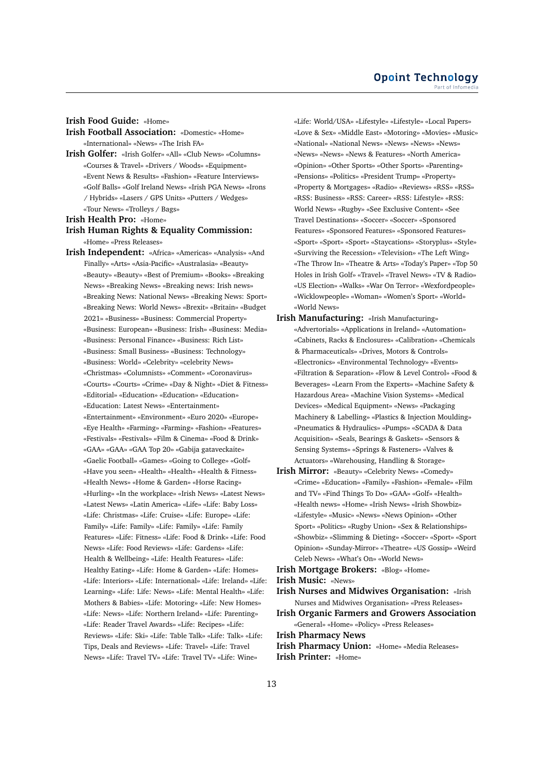## **Irish Food Guide:** «Home»

- **Irish Football Association:** «Domestic» «Home» «International» «News» «The Irish FA»
- **Irish Golfer:** «Irish Golfer» «All» «Club News» «Columns» «Courses & Travel» «Drivers / Woods» «Equipment» «Event News & Results» «Fashion» «Feature Interviews» «Golf Balls» «Golf Ireland News» «Irish PGA News» «Irons / Hybrids» «Lasers / GPS Units» «Putters / Wedges» «Tour News» «Trolleys / Bags»

**Irish Health Pro:** «Home»

## **Irish Human Rights & Equality Commission:** «Home» «Press Releases»

**Irish Independent:** «Africa» «Americas» «Analysis» «And Finally» «Arts» «Asia-Pacific» «Australasia» «Beauty» «Beauty» «Beauty» «Best of Premium» «Books» «Breaking News» «Breaking News» «Breaking news: Irish news» «Breaking News: National News» «Breaking News: Sport» «Breaking News: World News» «Brexit» «Britain» «Budget 2021» «Business» «Business: Commercial Property» «Business: European» «Business: Irish» «Business: Media» «Business: Personal Finance» «Business: Rich List» «Business: Small Business» «Business: Technology» «Business: World» «Celebrity» «celebrity News» «Christmas» «Columnists» «Comment» «Coronavirus» «Courts» «Courts» «Crime» «Day & Night» «Diet & Fitness» «Editorial» «Education» «Education» «Education» «Education: Latest News» «Entertainment» «Entertainment» «Environment» «Euro 2020» «Europe» «Eye Health» «Farming» «Farming» «Fashion» «Features» «Festivals» «Festivals» «Film & Cinema» «Food & Drink» «GAA» «GAA» «GAA Top 20» «Gabija gataveckaite» «Gaelic Football» «Games» «Going to College» «Golf» «Have you seen» «Health» «Health» «Health & Fitness» «Health News» «Home & Garden» «Horse Racing» «Hurling» «In the workplace» «Irish News» «Latest News» «Latest News» «Latin America» «Life» «Life: Baby Loss» «Life: Christmas» «Life: Cruise» «Life: Europe» «Life: Family» «Life: Family» «Life: Family» «Life: Family Features» «Life: Fitness» «Life: Food & Drink» «Life: Food News» «Life: Food Reviews» «Life: Gardens» «Life: Health & Wellbeing» «Life: Health Features» «Life: Healthy Eating» «Life: Home & Garden» «Life: Homes» «Life: Interiors» «Life: International» «Life: Ireland» «Life: Learning» «Life: Life: News» «Life: Mental Health» «Life: Mothers & Babies» «Life: Motoring» «Life: New Homes» «Life: News» «Life: Northern Ireland» «Life: Parenting» «Life: Reader Travel Awards» «Life: Recipes» «Life: Reviews» «Life: Ski» «Life: Table Talk» «Life: Talk» «Life: Tips, Deals and Reviews» «Life: Travel» «Life: Travel News» «Life: Travel TV» «Life: Travel TV» «Life: Wine»

«Life: World/USA» «Lifestyle» «Lifestyle» «Local Papers» «Love & Sex» «Middle East» «Motoring» «Movies» «Music» «National» «National News» «News» «News» «News» «News» «News» «News & Features» «North America» «Opinion» «Other Sports» «Other Sports» «Parenting» «Pensions» «Politics» «President Trump» «Property» «Property & Mortgages» «Radio» «Reviews» «RSS» «RSS» «RSS: Business» «RSS: Career» «RSS: Lifestyle» «RSS: World News» «Rugby» «See Exclusive Content» «See Travel Destinations» «Soccer» «Soccer» «Sponsored Features» «Sponsored Features» «Sponsored Features» «Sport» «Sport» «Sport» «Staycations» «Storyplus» «Style» «Surviving the Recession» «Television» «The Left Wing» «The Throw In» «Theatre & Arts» «Today's Paper» «Top 50 Holes in Irish Golf» «Travel» «Travel News» «TV & Radio» «US Election» «Walks» «War On Terror» «Wexfordpeople» «Wicklowpeople» «Woman» «Women's Sport» «World» «World News»

- **Irish Manufacturing:** «Irish Manufacturing» «Advertorials» «Applications in Ireland» «Automation» «Cabinets, Racks & Enclosures» «Calibration» «Chemicals & Pharmaceuticals» «Drives, Motors & Controls» «Electronics» «Environmental Technology» «Events» «Filtration & Separation» «Flow & Level Control» «Food & Beverages» «Learn From the Experts» «Machine Safety & Hazardous Area» «Machine Vision Systems» «Medical Devices» «Medical Equipment» «News» «Packaging Machinery & Labelling» «Plastics & Injection Moulding» «Pneumatics & Hydraulics» «Pumps» «SCADA & Data Acquisition» «Seals, Bearings & Gaskets» «Sensors & Sensing Systems» «Springs & Fasteners» «Valves & Actuators» «Warehousing, Handling & Storage»
- **Irish Mirror:** «Beauty» «Celebrity News» «Comedy» «Crime» «Education» «Family» «Fashion» «Female» «Film and TV» «Find Things To Do» «GAA» «Golf» «Health» «Health news» «Home» «Irish News» «Irish Showbiz» «Lifestyle» «Music» «News» «News Opinion» «Other Sport» «Politics» «Rugby Union» «Sex & Relationships» «Showbiz» «Slimming & Dieting» «Soccer» «Sport» «Sport Opinion» «Sunday-Mirror» «Theatre» «US Gossip» «Weird Celeb News» «What's On» «World News»

**Irish Mortgage Brokers:** «Blog» «Home»

- **Irish Music:** «News»
- **Irish Nurses and Midwives Organisation:** «Irish Nurses and Midwives Organisation» «Press Releases»
- **Irish Organic Farmers and Growers Association** «General» «Home» «Policy» «Press Releases»
- **Irish Pharmacy News**
- **Irish Pharmacy Union:** «Home» «Media Releases» **Irish Printer:** «Home»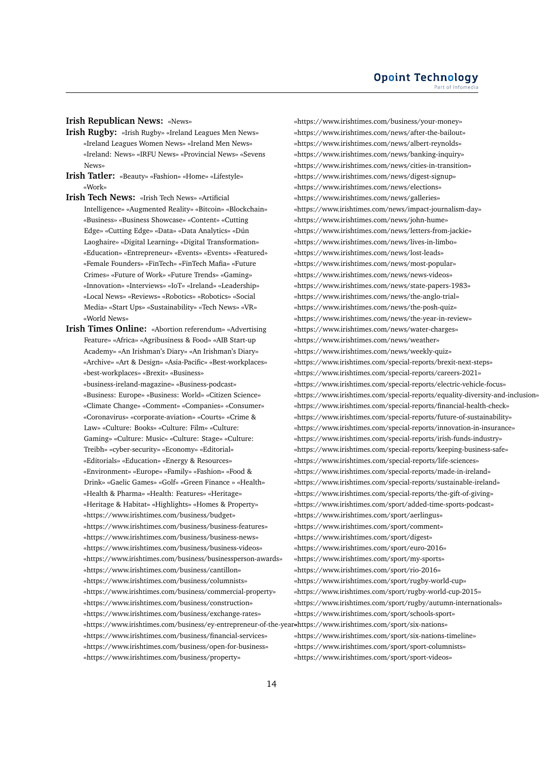## **Irish Republican News:** «News»

- **Irish Rugby:** «Irish Rugby» «Ireland Leagues Men News» «Ireland Leagues Women News» «Ireland Men News» «Ireland: News» «IRFU News» «Provincial News» «Sevens News»
- **Irish Tatler:** «Beauty» «Fashion» «Home» «Lifestyle» «Work»
- **Irish Tech News:** «Irish Tech News» «Artificial Intelligence» «Augmented Reality» «Bitcoin» «Blockchain» «Business» «Business Showcase» «Content» «Cutting Edge» «Cutting Edge» «Data» «Data Analytics» «Dún Laoghaire» «Digital Learning» «Digital Transformation» «Education» «Entrepreneur» «Events» «Events» «Featured» «Female Founders» «FinTech» «FinTech Mafia» «Future Crimes» «Future of Work» «Future Trends» «Gaming» «Innovation» «Interviews» «IoT» «Ireland» «Leadership» «Local News» «Reviews» «Robotics» «Robotics» «Social Media» «Start Ups» «Sustainability» «Tech News» «VR» «World News»

**Irish Times Online:** «Abortion referendum» «Advertising Feature» «Africa» «Agribusiness & Food» «AIB Start-up Academy» «An Irishman's Diary» «An Irishman's Diary» «Archive» «Art & Design» «Asia-Pacific» «Best-workplaces» «best-workplaces» «Brexit» «Business» «business-ireland-magazine» «Business-podcast» «Business: Europe» «Business: World» «Citizen Science» «Climate Change» «Comment» «Companies» «Consumer» «Coronavirus» «corporate-aviation» «Courts» «Crime & Law» «Culture: Books» «Culture: Film» «Culture: Gaming» «Culture: Music» «Culture: Stage» «Culture: Treibh» «cyber-security» «Economy» «Editorial» «Editorials» «Education» «Energy & Resources» «Environment» «Europe» «Family» «Fashion» «Food & Drink» «Gaelic Games» «Golf» «Green Finance » «Health» «Health & Pharma» «Health: Features» «Heritage» «Heritage & Habitat» «Highlights» «Homes & Property» «https://www.irishtimes.com/business/budget» «https://www.irishtimes.com/business/business-features» «https://www.irishtimes.com/business/business-news» «https://www.irishtimes.com/business/business-videos» «https://www.irishtimes.com/business/businessperson-awards» «https://www.irishtimes.com/business/cantillon» «https://www.irishtimes.com/business/columnists» «https://www.irishtimes.com/business/commercial-property» «https://www.irishtimes.com/business/construction» «https://www.irishtimes.com/business/exchange-rates» «https://www.irishtimes.com/business/ey-entrepreneur-of-the-year» «https://www.irishtimes.com/sport/six-nations» «https://www.irishtimes.com/business/financial-services» «https://www.irishtimes.com/business/open-for-business» «https://www.irishtimes.com/business/property»

«https://www.irishtimes.com/business/your-money» «https://www.irishtimes.com/news/after-the-bailout» «https://www.irishtimes.com/news/albert-reynolds» «https://www.irishtimes.com/news/banking-inquiry» «https://www.irishtimes.com/news/cities-in-transition» «https://www.irishtimes.com/news/digest-signup» «https://www.irishtimes.com/news/elections» «https://www.irishtimes.com/news/galleries» «https://www.irishtimes.com/news/impact-journalism-day» «https://www.irishtimes.com/news/john-hume» «https://www.irishtimes.com/news/letters-from-jackie» «https://www.irishtimes.com/news/lives-in-limbo» «https://www.irishtimes.com/news/lost-leads» «https://www.irishtimes.com/news/most-popular» «https://www.irishtimes.com/news/news-videos» «https://www.irishtimes.com/news/state-papers-1983» «https://www.irishtimes.com/news/the-anglo-trial» «https://www.irishtimes.com/news/the-posh-quiz» «https://www.irishtimes.com/news/the-year-in-review» «https://www.irishtimes.com/news/water-charges» «https://www.irishtimes.com/news/weather» «https://www.irishtimes.com/news/weekly-quiz» «https://www.irishtimes.com/special-reports/brexit-next-steps» «https://www.irishtimes.com/special-reports/careers-2021» «https://www.irishtimes.com/special-reports/electric-vehicle-focus» «https://www.irishtimes.com/special-reports/equality-diversity-and-inclusion» «https://www.irishtimes.com/special-reports/financial-health-check» «https://www.irishtimes.com/special-reports/future-of-sustainability» «https://www.irishtimes.com/special-reports/innovation-in-insurance» «https://www.irishtimes.com/special-reports/irish-funds-industry» «https://www.irishtimes.com/special-reports/keeping-business-safe» «https://www.irishtimes.com/special-reports/life-sciences» «https://www.irishtimes.com/special-reports/made-in-ireland» «https://www.irishtimes.com/special-reports/sustainable-ireland» «https://www.irishtimes.com/special-reports/the-gift-of-giving» «https://www.irishtimes.com/sport/added-time-sports-podcast» «https://www.irishtimes.com/sport/aerlingus» «https://www.irishtimes.com/sport/comment» «https://www.irishtimes.com/sport/digest» «https://www.irishtimes.com/sport/euro-2016» «https://www.irishtimes.com/sport/my-sports» «https://www.irishtimes.com/sport/rio-2016» «https://www.irishtimes.com/sport/rugby-world-cup» «https://www.irishtimes.com/sport/rugby-world-cup-2015» «https://www.irishtimes.com/sport/rugby/autumn-internationals» «https://www.irishtimes.com/sport/schools-sport» «https://www.irishtimes.com/sport/six-nations-timeline» «https://www.irishtimes.com/sport/sport-columnists» «https://www.irishtimes.com/sport/sport-videos»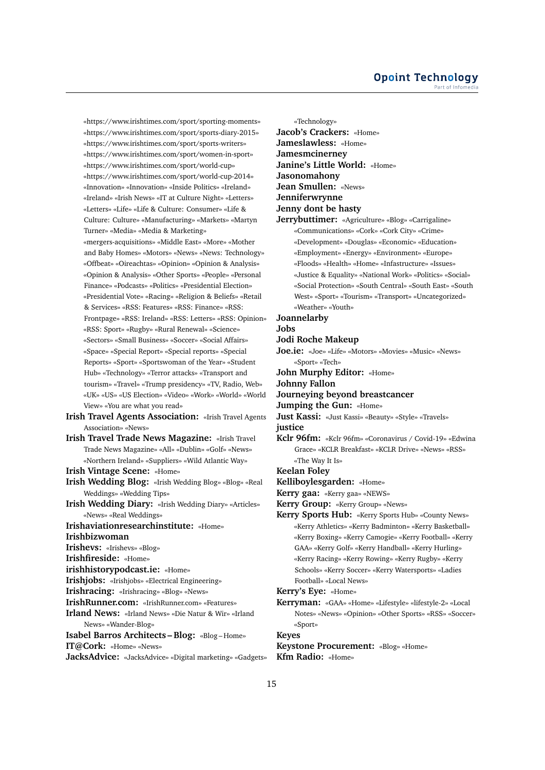«https://www.irishtimes.com/sport/sporting-moments» «https://www.irishtimes.com/sport/sports-diary-2015» «https://www.irishtimes.com/sport/sports-writers» «https://www.irishtimes.com/sport/women-in-sport» «https://www.irishtimes.com/sport/world-cup» «https://www.irishtimes.com/sport/world-cup-2014» «Innovation» «Innovation» «Inside Politics» «Ireland» «Ireland» «Irish News» «IT at Culture Night» «Letters» «Letters» «Life» «Life & Culture: Consumer» «Life & Culture: Culture» «Manufacturing» «Markets» «Martyn Turner» «Media» «Media & Marketing» «mergers-acquisitions» «Middle East» «More» «Mother and Baby Homes» «Motors» «News» «News: Technology» «Offbeat» «Oireachtas» «Opinion» «Opinion & Analysis» «Opinion & Analysis» «Other Sports» «People» «Personal Finance» «Podcasts» «Politics» «Presidential Election» «Presidential Vote» «Racing» «Religion & Beliefs» «Retail & Services» «RSS: Features» «RSS: Finance» «RSS: Frontpage» «RSS: Ireland» «RSS: Letters» «RSS: Opinion» «RSS: Sport» «Rugby» «Rural Renewal» «Science» «Sectors» «Small Business» «Soccer» «Social Affairs» «Space» «Special Report» «Special reports» «Special Reports» «Sport» «Sportswoman of the Year» «Student Hub» «Technology» «Terror attacks» «Transport and tourism» «Travel» «Trump presidency» «TV, Radio, Web» «UK» «US» «US Election» «Video» «Work» «World» «World View» «You are what you read» **Irish Travel Agents Association:** «Irish Travel Agents Association» «News» **Irish Travel Trade News Magazine:** «Irish Travel

Trade News Magazine» «All» «Dublin» «Golf» «News» «Northern Ireland» «Suppliers» «Wild Atlantic Way»

**Irish Vintage Scene:** «Home»

- **Irish Wedding Blog:** «Irish Wedding Blog» «Blog» «Real Weddings» «Wedding Tips»
- **Irish Wedding Diary:** «Irish Wedding Diary» «Articles» «News» «Real Weddings»

**Irishaviationresearchinstitute:** «Home»

**Irishbizwoman**

**Irishevs:** «Irishevs» «Blog»

**Irishfireside:** «Home»

**irishhistorypodcast.ie:** «Home»

**Irishjobs:** «Irishjobs» «Electrical Engineering»

**Irishracing:** «Irishracing» «Blog» «News»

**IrishRunner.com:** «IrishRunner.com» «Features»

**Irland News:** «Irland News» «Die Natur & Wir» «Irland News» «Wander-Blog»

**Isabel Barros Architects – Blog:** «Blog – Home» **IT@Cork:** «Home» «News»

**JacksAdvice:** «JacksAdvice» «Digital marketing» «Gadgets»

«Technology» **Jacob's Crackers:** «Home» **Jameslawless:** «Home» **Jamesmcinerney Janine's Little World:** «Home» **Jasonomahony Jean Smullen:** «News» **Jenniferwrynne Jenny dont be hasty Jerrybuttimer:** «Agriculture» «Blog» «Carrigaline» «Communications» «Cork» «Cork City» «Crime» «Development» «Douglas» «Economic» «Education» «Employment» «Energy» «Environment» «Europe» «Floods» «Health» «Home» «Infastructure» «Issues» «Justice & Equality» «National Work» «Politics» «Social» «Social Protection» «South Central» «South East» «South West» «Sport» «Tourism» «Transport» «Uncategorized» «Weather» «Youth» **Joannelarby Jobs Jodi Roche Makeup Joe.ie:** «Joe» «Life» «Motors» «Movies» «Music» «News» «Sport» «Tech» **John Murphy Editor:** «Home» **Johnny Fallon Journeying beyond breastcancer Jumping the Gun:** «Home» **Just Kassi:** «Just Kassi» «Beauty» «Style» «Travels» **justice Kclr 96fm:** «Kclr 96fm» «Coronavirus / Covid-19» «Edwina Grace» «KCLR Breakfast» «KCLR Drive» «News» «RSS» «The Way It Is» **Keelan Foley Kelliboylesgarden:** «Home» **Kerry gaa:** «Kerry gaa» «NEWS» **Kerry Group:** «Kerry Group» «News» **Kerry Sports Hub:** «Kerry Sports Hub» «County News» «Kerry Athletics» «Kerry Badminton» «Kerry Basketball» «Kerry Boxing» «Kerry Camogie» «Kerry Football» «Kerry GAA» «Kerry Golf» «Kerry Handball» «Kerry Hurling» «Kerry Racing» «Kerry Rowing» «Kerry Rugby» «Kerry Schools» «Kerry Soccer» «Kerry Watersports» «Ladies Football» «Local News» **Kerry's Eye:** «Home» **Kerryman:** «GAA» «Home» «Lifestyle» «lifestyle-2» «Local Notes» «News» «Opinion» «Other Sports» «RSS» «Soccer» «Sport» **Keyes**

**Keystone Procurement:** «Blog» «Home» **Kfm Radio:** «Home»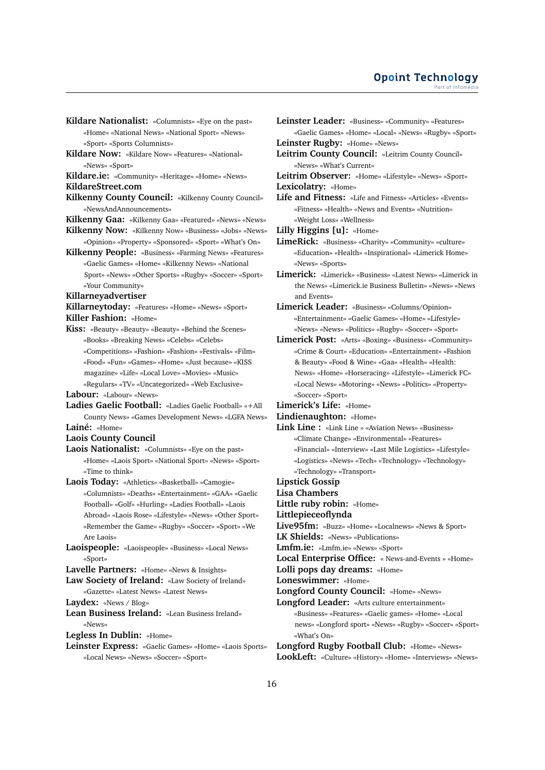- **Kildare Nationalist:** «Columnists» «Eye on the past» «Home» «National News» «National Sport» «News» «Sport» «Sports Columnists»
- **Kildare Now:** «Kildare Now» «Features» «National» «News» «Sport»
- **Kildare.ie:** «Community» «Heritage» «Home» «News»
- **KildareStreet.com**
- **Kilkenny County Council:** «Kilkenny County Council» «NewsAndAnnouncements»
- **Kilkenny Gaa:** «Kilkenny Gaa» «Featured» «News» «News»
- **Kilkenny Now:** «Kilkenny Now» «Business» «Jobs» «News»
- «Opinion» «Property» «Sponsored» «Sport» «What's On» **Kilkenny People:** «Business» «Farming News» «Features» «Gaelic Games» «Home» «Kilkenny News» «National
	- Sport» «News» «Other Sports» «Rugby» «Soccer» «Sport» «Your Community»
- **Killarneyadvertiser**
- **Killarneytoday:** «Features» «Home» «News» «Sport» **Killer Fashion:** «Home»
- **Kiss:** «Beauty» «Beauty» «Beauty» «Behind the Scenes» «Books» «Breaking News» «Celebs» «Celebs» «Competitions» «Fashion» «Fashion» «Festivals» «Film» «Food» «Fun» «Games» «Home» «Just because» «KISS magazine» «Life» «Local Love» «Movies» «Music» «Regulars» «TV» «Uncategorized» «Web Exclusive»
- **Labour:** «Labour» «News»
- **Ladies Gaelic Football:** «Ladies Gaelic Football» «+All County News» «Games Development News» «LGFA News»
- **Lainé:** «Home»
- **Laois County Council**
- **Laois Nationalist:** «Columnists» «Eye on the past» «Home» «Laois Sport» «National Sport» «News» «Sport» «Time to think»
- **Laois Today:** «Athletics» «Basketball» «Camogie» «Columnists» «Deaths» «Entertainment» «GAA» «Gaelic Football» «Golf» «Hurling» «Ladies Football» «Laois Abroad» «Laois Rose» «Lifestyle» «News» «Other Sport» «Remember the Game» «Rugby» «Soccer» «Sport» «We Are Laois»
- **Laoispeople:** «Laoispeople» «Business» «Local News» «Sport»
- **Lavelle Partners:** «Home» «News & Insights»
- **Law Society of Ireland:** «Law Society of Ireland» «Gazette» «Latest News» «Latest News»
- **Laydex:** «News / Blog»
- **Lean Business Ireland:** «Lean Business Ireland» «News»
- **Legless In Dublin:** «Home»
- **Leinster Express:** «Gaelic Games» «Home» «Laois Sports» «Local News» «News» «Soccer» «Sport»
- **Leinster Leader:** «Business» «Community» «Features» «Gaelic Games» «Home» «Local» «News» «Rugby» «Sport»
- **Leinster Rugby:** «Home» «News»
- **Leitrim County Council:** «Leitrim County Council» «News» «What's Current»
- **Leitrim Observer:** «Home» «Lifestyle» «News» «Sport» **Lexicolatry:** «Home»
- **Life and Fitness:** «Life and Fitness» «Articles» «Events» «Fitness» «Health» «News and Events» «Nutrition» «Weight Loss» «Wellness»
- **Lilly Higgins [u]:** «Home»
- **LimeRick:** «Business» «Charity» «Community» «culture» «Education» «Health» «Inspirational» «Limerick Home» «News» «Sports»
- **Limerick:** «Limerick» «Business» «Latest News» «Limerick in the News» «Limerick.ie Business Bulletin» «News» «News and Events»
- **Limerick Leader:** «Business» «Columns/Opinion» «Entertainment» «Gaelic Games» «Home» «Lifestyle» «News» «News» «Politics» «Rugby» «Soccer» «Sport»
- **Limerick Post:** «Arts» «Boxing» «Business» «Community» «Crime & Court» «Education» «Entertainment» «Fashion & Beauty» «Food & Wine» «Gaa» «Health» «Health: News» «Home» «Horseracing» «Lifestyle» «Limerick FC» «Local News» «Motoring» «News» «Politics» «Property» «Soccer» «Sport»
- **Limerick's Life:** «Home»
- **Lindienaughton:** «Home»
- **Link Line :** «Link Line » «Aviation News» «Business» «Climate Change» «Environmental» «Features» «Financial» «Interview» «Last Mile Logistics» «Lifestyle» «Logistics» «News» «Tech» «Technology» «Technology» «Technology» «Transport»
- **Lipstick Gossip**
- **Lisa Chambers**
- **Little ruby robin:** «Home»
- **Littlepieceoflynda**
- **Live95fm:** «Buzz» «Home» «Localnews» «News & Sport»
- **LK Shields:** «News» «Publications»
- **Lmfm.ie:** «Lmfm.ie» «News» «Sport»

**Local Enterprise Office:** « News-and-Events » «Home»

- **Lolli pops day dreams:** «Home»
- **Loneswimmer:** «Home»
- **Longford County Council:** «Home» «News»
- **Longford Leader:** «Arts culture entertainment» «Business» «Features» «Gaelic games» «Home» «Local news» «Longford sport» «News» «Rugby» «Soccer» «Sport» «What's On»
- **Longford Rugby Football Club:** «Home» «News» **LookLeft:** «Culture» «History» «Home» «Interviews» «News»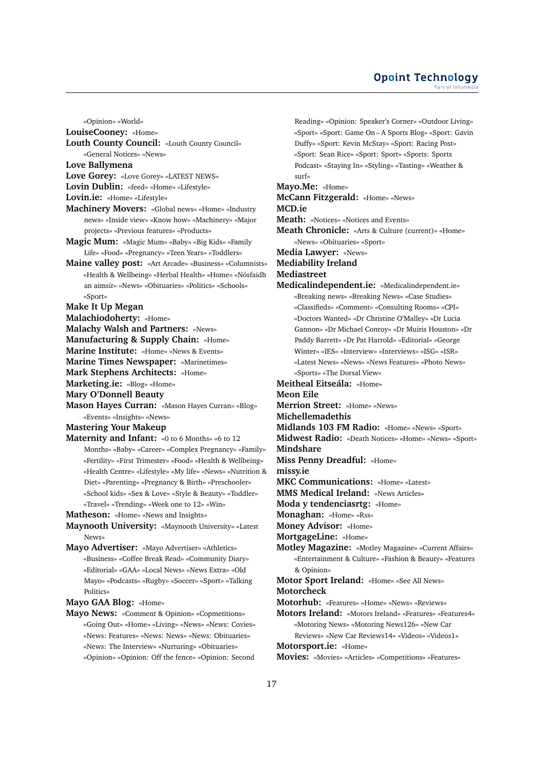### **Opoint Technology** Part of Infomed

«Opinion» «World»

**LouiseCooney:** «Home»

- **Louth County Council:** «Louth County Council»
- «General Notices» «News»

**Love Ballymena**

- **Love Gorey:** «Love Gorey» «LATEST NEWS»
- **Lovin Dublin:** «feed» «Home» «Lifestyle»
- **Lovin.ie:** «Home» «Lifestyle»
- **Machinery Movers:** «Global news» «Home» «Industry news» «Inside view» «Know how» «Machinery» «Major projects» «Previous features» «Products»
- **Magic Mum:** «Magic Mum» «Baby» «Big Kids» «Family Life» «Food» «Pregnancy» «Teen Years» «Toddlers»
- **Maine valley post:** «Art Arcade» «Business» «Columnists» «Health & Wellbeing» «Herbal Health» «Home» «Nósfaidh an aimsir» «News» «Obituaries» «Politics» «Schools» «Sport»
- **Make It Up Megan**
- **Malachiodoherty:** «Home»
- **Malachy Walsh and Partners:** «News»
- **Manufacturing & Supply Chain:** «Home»
- **Marine Institute:** «Home» «News & Events»
- **Marine Times Newspaper:** «Marinetimes»
- **Mark Stephens Architects:** «Home»
- **Marketing.ie:** «Blog» «Home»
- **Mary O'Donnell Beauty**
- **Mason Hayes Curran:** «Mason Hayes Curran» «Blog» «Events» «Insights» «News»
- **Mastering Your Makeup**
- **Maternity and Infant:** «0 to 6 Months» «6 to 12 Months» «Baby» «Career» «Complex Pregnancy» «Family» «Fertility» «First Trimester» «Food» «Health & Wellbeing» «Health Centre» «Lifestyle» «My life» «News» «Nutrition & Diet» «Parenting» «Pregnancy & Birth» «Preschooler» «School kids» «Sex & Love» «Style & Beauty» «Toddler» «Travel» «Trending» «Week one to 12» «Win»

**Matheson:** «Home» «News and Insights»

- **Maynooth University:** «Maynooth University» «Latest News»
- **Mayo Advertiser:** «Mayo Advertiser» «Athletics» «Business» «Coffee Break Read» «Community Diary» «Editorial» «GAA» «Local News» «News Extra» «Old Mayo» «Podcasts» «Rugby» «Soccer» «Sport» «Talking Politics»

**Mayo GAA Blog:** «Home»

**Mayo News:** «Comment & Opinion» «Copmetitions» «Going Out» «Home» «Living» «News» «News: Covies» «News: Features» «News: News» «News: Obituaries» «News: The Interview» «Nurturing» «Obituaries» «Opinion» «Opinion: Off the fence» «Opinion: Second

Reading» «Opinion: Speaker's Corner» «Outdoor Living» «Sport» «Sport: Game On – A Sports Blog» «Sport: Gavin Duffy» «Sport: Kevin McStay» «Sport: Racing Post» «Sport: Sean Rice» «Sport: Sport» «Sports: Sports Podcast» «Staying In» «Styling» «Tasting» «Weather & surf» **Mayo.Me:** «Home» **McCann Fitzgerald:** «Home» «News» **MCD.ie Meath:** «Notices» «Notices and Events» **Meath Chronicle:** «Arts & Culture (current)» «Home» «News» «Obituaries» «Sport» **Media Lawyer:** «News» **Mediability Ireland Mediastreet Medicalindependent.ie:** «Medicalindependent.ie» «Breaking news» «Breaking News» «Case Studies» «Classifieds» «Comment» «Consulting Rooms» «CPI» «Doctors Wanted» «Dr Christine O'Malley» «Dr Lucia Gannon» «Dr Michael Conroy» «Dr Muiris Houston» «Dr Paddy Barrett» «Dr Pat Harrold» «Editorial» «George Winter» «IES» «Interview» «Interviews» «ISG» «ISR» «Latest News» «News» «News Features» «Photo News» «Sports» «The Dorsal View» **Meitheal Eitseála:** «Home» **Meon Eile Merrion Street:** «Home» «News» **Michellemadethis Midlands 103 FM Radio:** «Home» «News» «Sport» **Midwest Radio:** «Death Notices» «Home» «News» «Sport» **Mindshare Miss Penny Dreadful:** «Home» **missy.ie MKC Communications:** «Home» «Latest» **MMS Medical Ireland:** «News Articles» **Moda y tendenciasrtg:** «Home» **Monaghan:** «Home» «Rss» **Money Advisor:** «Home» **MortgageLine:** «Home» **Motley Magazine:** «Motley Magazine» «Current Affairs» «Entertainment & Culture» «Fashion & Beauty» «Features & Opinion» **Motor Sport Ireland:** «Home» «See All News» **Motorcheck Motorhub:** «Features» «Home» «News» «Reviews» **Motors Ireland:** «Motors Ireland» «Features» «Features4» «Motoring News» «Motoring News126» «New Car Reviews» «New Car Reviews14» «Videos» «Videos1» **Motorsport.ie:** «Home» **Movies:** «Movies» «Articles» «Competitions» «Features»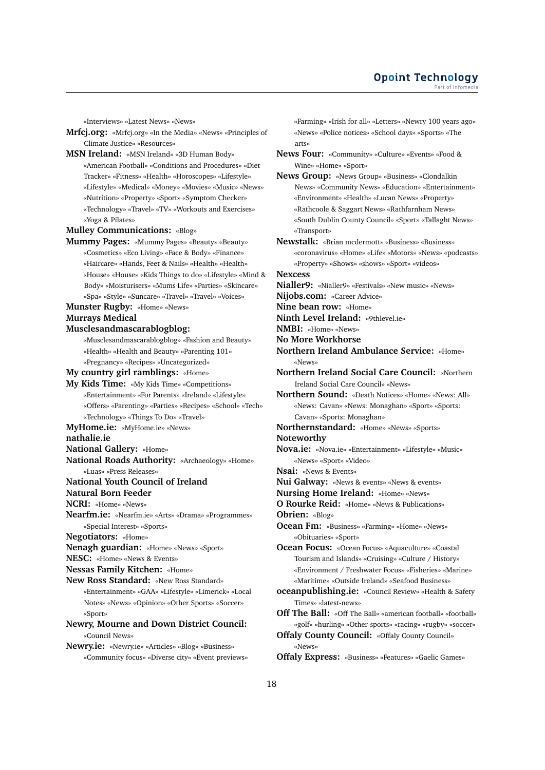«Interviews» «Latest News» «News»

- **Mrfcj.org:** «Mrfcj.org» «In the Media» «News» «Principles of Climate Justice» «Resources»
- **MSN Ireland:** «MSN Ireland» «3D Human Body» «American Football» «Conditions and Procedures» «Diet Tracker» «Fitness» «Health» «Horoscopes» «Lifestyle» «Lifestyle» «Medical» «Money» «Movies» «Music» «News» «Nutrition» «Property» «Sport» «Symptom Checker» «Technology» «Travel» «TV» «Workouts and Exercises» «Yoga & Pilates»

**Mulley Communications:** «Blog»

- **Mummy Pages:** «Mummy Pages» «Beauty» «Beauty» «Cosmetics» «Eco Living» «Face & Body» «Finance» «Haircare» «Hands, Feet & Nails» «Health» «Health» «House» «House» «Kids Things to do» «Lifestyle» «Mind & Body» «Moisturisers» «Mums Life» «Parties» «Skincare» «Spa» «Style» «Suncare» «Travel» «Travel» «Voices»
- **Munster Rugby:** «Home» «News»
- **Murrays Medical**
- **Musclesandmascarablogblog:**
	- «Musclesandmascarablogblog» «Fashion and Beauty» «Health» «Health and Beauty» «Parenting 101» «Pregnancy» «Recipes» «Uncategorized»
- **My country girl ramblings:** «Home»
- **My Kids Time:** «My Kids Time» «Competitions» «Entertainment» «For Parents» «Ireland» «Lifestyle» «Offers» «Parenting» «Parties» «Recipes» «School» «Tech» «Technology» «Things To Do» «Travel»
- **MyHome.ie:** «MyHome.ie» «News»

**nathalie.ie**

- **National Gallery:** «Home»
- **National Roads Authority:** «Archaeology» «Home» «Luas» «Press Releases»
- **National Youth Council of Ireland**
- **Natural Born Feeder**
- **NCRI:** «Home» «News»
- **Nearfm.ie:** «Nearfm.ie» «Arts» «Drama» «Programmes» «Special Interest» «Sports»

**Negotiators:** «Home»

- **Nenagh guardian:** «Home» «News» «Sport»
- **NESC:** «Home» «News & Events»
- **Nessas Family Kitchen:** «Home»
- **New Ross Standard:** «New Ross Standard» «Entertainment» «GAA» «Lifestyle» «Limerick» «Local Notes» «News» «Opinion» «Other Sports» «Soccer» «Sport»
- **Newry, Mourne and Down District Council:** «Council News»

**Newry.ie:** «Newry.ie» «Articles» «Blog» «Business» «Community focus» «Diverse city» «Event previews» «Farming» «Irish for all» «Letters» «Newry 100 years ago» «News» «Police notices» «School days» «Sports» «The arts»

**News Four:** «Community» «Culture» «Events» «Food & Wine» «Home» «Sport»

**News Group:** «News Group» «Business» «Clondalkin News» «Community News» «Education» «Entertainment» «Environment» «Health» «Lucan News» «Property» «Rathcoole & Saggart News» «Rathfarnham News» «South Dublin County Council» «Sport» «Tallaght News» «Transport»

**Newstalk:** «Brian mcdermott» «Business» «Business» «coronavirus» «Home» «Life» «Motors» «News» «podcasts» «Property» «Shows» «shows» «Sport» «videos»

**Nexcess**

- **Nialler9:** «Nialler9» «Festivals» «New music» «News»
- **Nijobs.com:** «Career Advice»
- **Nine bean row:** «Home»
- **Ninth Level Ireland:** «9thlevel.ie»
- **NMBI:** «Home» «News»
- **No More Workhorse**
- **Northern Ireland Ambulance Service:** «Home» «News»
- **Northern Ireland Social Care Council:** «Northern Ireland Social Care Council» «News»

**Northern Sound:** «Death Notices» «Home» «News: All» «News: Cavan» «News: Monaghan» «Sport» «Sports: Cavan» «Sports: Monaghan»

- **Northernstandard:** «Home» «News» «Sports» **Noteworthy**
- 
- **Nova.ie:** «Nova.ie» «Entertainment» «Lifestyle» «Music» «News» «Sport» «Video»
- **Nsai:** «News & Events»
- **Nui Galway:** «News & events» «News & events»
- **Nursing Home Ireland:** «Home» «News»
- **O Rourke Reid:** «Home» «News & Publications»
- **Obrien:** «Blog»
- **Ocean Fm:** «Business» «Farming» «Home» «News» «Obituaries» «Sport»
- **Ocean Focus:** «Ocean Focus» «Aquaculture» «Coastal Tourism and Islands» «Cruising» «Culture / History» «Environment / Freshwater Focus» «Fisheries» «Marine» «Maritime» «Outside Ireland» «Seafood Business»
- **oceanpublishing.ie:** «Council Review» «Health & Safety Times» «latest-news»
- **Off The Ball:** «Off The Ball» «american football» «football» «golf» «hurling» «Other-sports» «racing» «rugby» «soccer»
- **Offaly County Council:** «Offaly County Council» «News»
- **Offaly Express:** «Business» «Features» «Gaelic Games»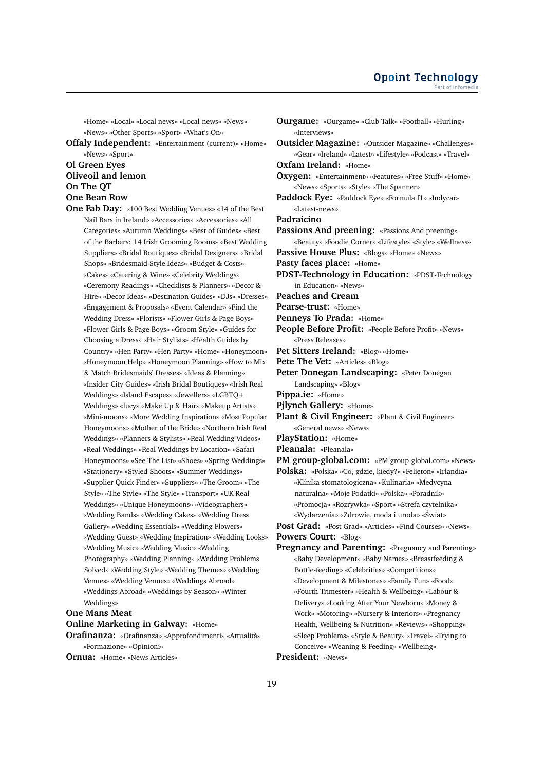«Home» «Local» «Local news» «Local-news» «News» «News» «Other Sports» «Sport» «What's On»

**Offaly Independent:** «Entertainment (current)» «Home» «News» «Sport»

## **Ol Green Eyes Oliveoil and lemon On The QT One Bean Row**

**One Fab Day:** «100 Best Wedding Venues» «14 of the Best Nail Bars in Ireland» «Accessories» «Accessories» «All Categories» «Autumn Weddings» «Best of Guides» «Best of the Barbers: 14 Irish Grooming Rooms» «Best Wedding Suppliers» «Bridal Boutiques» «Bridal Designers» «Bridal Shops» «Bridesmaid Style Ideas» «Budget & Costs» «Cakes» «Catering & Wine» «Celebrity Weddings» «Ceremony Readings» «Checklists & Planners» «Decor & Hire» «Decor Ideas» «Destination Guides» «DJs» «Dresses» «Engagement & Proposals» «Event Calendar» «Find the Wedding Dress» «Florists» «Flower Girls & Page Boys» «Flower Girls & Page Boys» «Groom Style» «Guides for Choosing a Dress» «Hair Stylists» «Health Guides by Country» «Hen Party» «Hen Party» «Home» «Honeymoon» «Honeymoon Help» «Honeymoon Planning» «How to Mix & Match Bridesmaids' Dresses» «Ideas & Planning» «Insider City Guides» «Irish Bridal Boutiques» «Irish Real Weddings» «Island Escapes» «Jewellers» «LGBTQ+ Weddings» «lucy» «Make Up & Hair» «Makeup Artists» «Mini-moons» «More Wedding Inspiration» «Most Popular Honeymoons» «Mother of the Bride» «Northern Irish Real Weddings» «Planners & Stylists» «Real Wedding Videos» «Real Weddings» «Real Weddings by Location» «Safari Honeymoons» «See The List» «Shoes» «Spring Weddings» «Stationery» «Styled Shoots» «Summer Weddings» «Supplier Quick Finder» «Suppliers» «The Groom» «The Style» «The Style» «The Style» «Transport» «UK Real Weddings» «Unique Honeymoons» «Videographers» «Wedding Bands» «Wedding Cakes» «Wedding Dress Gallery» «Wedding Essentials» «Wedding Flowers» «Wedding Guest» «Wedding Inspiration» «Wedding Looks» «Wedding Music» «Wedding Music» «Wedding Photography» «Wedding Planning» «Wedding Problems Solved» «Wedding Style» «Wedding Themes» «Wedding Venues» «Wedding Venues» «Weddings Abroad» «Weddings Abroad» «Weddings by Season» «Winter Weddings»

## **One Mans Meat**

**Online Marketing in Galway:** «Home»

**Orafinanza:** «Orafinanza» «Approfondimenti» «Attualità» «Formazione» «Opinioni»

**Ornua:** «Home» «News Articles»

**Ourgame:** «Ourgame» «Club Talk» «Football» «Hurling» «Interviews» **Outsider Magazine:** «Outsider Magazine» «Challenges» «Gear» «Ireland» «Latest» «Lifestyle» «Podcast» «Travel» **Oxfam Ireland:** «Home» **Oxygen:** «Entertainment» «Features» «Free Stuff» «Home» «News» «Sports» «Style» «The Spanner» **Paddock Eye:** «Paddock Eye» «Formula f1» «Indycar» «Latest-news» **Padraicino Passions And preening:** «Passions And preening» «Beauty» «Foodie Corner» «Lifestyle» «Style» «Wellness» **Passive House Plus:** «Blogs» «Home» «News» **Pasty faces place:** «Home» **PDST-Technology in Education:** «PDST-Technology in Education» «News» **Peaches and Cream Pearse-trust:** «Home» **Penneys To Prada:** «Home» **People Before Profit:** «People Before Profit» «News» «Press Releases» **Pet Sitters Ireland:** «Blog» «Home» **Pete The Vet:** «Articles» «Blog» **Peter Donegan Landscaping:** «Peter Donegan Landscaping» «Blog» **Pippa.ie:** «Home» **Pjlynch Gallery:** «Home» **Plant & Civil Engineer:** «Plant & Civil Engineer» «General news» «News» **PlayStation:** «Home» **Pleanala:** «Pleanala» **PM group-global.com:** «PM group-global.com» «News» **Polska:** «Polska» «Co, gdzie, kiedy?» «Felieton» «Irlandia» «Klinika stomatologiczna» «Kulinaria» «Medycyna naturalna» «Moje Podatki» «Polska» «Poradnik» «Promocja» «Rozrywka» «Sport» «Strefa czytelnika» «Wydarzenia» «Zdrowie, moda i uroda» «Swiat» ´ **Post Grad:** «Post Grad» «Articles» «Find Courses» «News» **Powers Court:** «Blog» **Pregnancy and Parenting:** «Pregnancy and Parenting» «Baby Development» «Baby Names» «Breastfeeding & Bottle-feeding» «Celebrities» «Competitions» «Development & Milestones» «Family Fun» «Food» «Fourth Trimester» «Health & Wellbeing» «Labour & Delivery» «Looking After Your Newborn» «Money & Work» «Motoring» «Nursery & Interiors» «Pregnancy Health, Wellbeing & Nutrition» «Reviews» «Shopping» «Sleep Problems» «Style & Beauty» «Travel» «Trying to

- Conceive» «Weaning & Feeding» «Wellbeing»
- **President:** «News»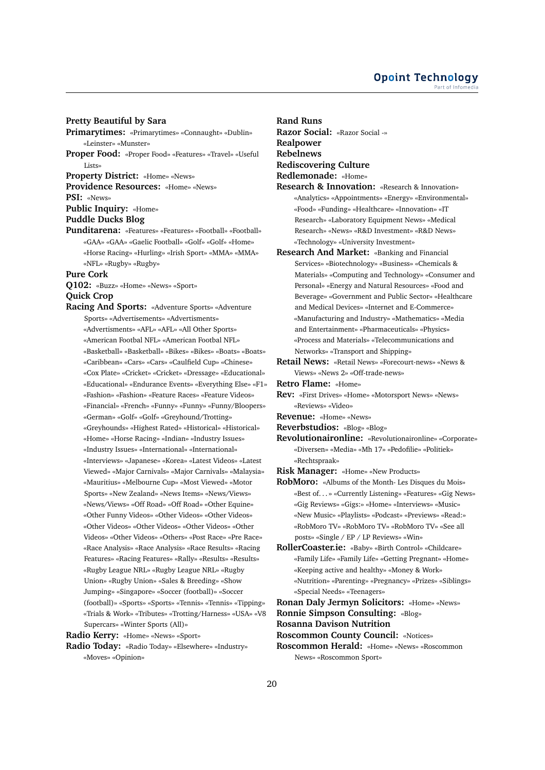## **Pretty Beautiful by Sara**

**Primarytimes:** «Primarytimes» «Connaught» «Dublin» «Leinster» «Munster» **Proper Food:** «Proper Food» «Features» «Travel» «Useful Lists» **Property District:** «Home» «News» **Providence Resources:** «Home» «News» **PSI:** «News» **Public Inquiry:** «Home» **Puddle Ducks Blog Punditarena:** «Features» «Features» «Football» «Football» «GAA» «GAA» «Gaelic Football» «Golf» «Golf» «Home» «Horse Racing» «Hurling» «Irish Sport» «MMA» «MMA» «NFL» «Rugby» «Rugby» **Pure Cork Q102:** «Buzz» «Home» «News» «Sport» **Quick Crop Racing And Sports:** «Adventure Sports» «Adventure Sports» «Advertisements» «Advertisments» «Advertisments» «AFL» «AFL» «All Other Sports» «American Footbal NFL» «American Footbal NFL» «Basketball» «Basketball» «Bikes» «Bikes» «Boats» «Boats» «Caribbean» «Cars» «Cars» «Caulfield Cup» «Chinese»

«Cox Plate» «Cricket» «Cricket» «Dressage» «Educational» «Educational» «Endurance Events» «Everything Else» «F1» «Fashion» «Fashion» «Feature Races» «Feature Videos» «Financial» «French» «Funny» «Funny» «Funny/Bloopers» «German» «Golf» «Golf» «Greyhound/Trotting» «Greyhounds» «Highest Rated» «Historical» «Historical» «Home» «Horse Racing» «Indian» «Industry Issues» «Industry Issues» «International» «International» «Interviews» «Japanese» «Korea» «Latest Videos» «Latest Viewed» «Major Carnivals» «Major Carnivals» «Malaysia» «Mauritius» «Melbourne Cup» «Most Viewed» «Motor Sports» «New Zealand» «News Items» «News/Views» «News/Views» «Off Road» «Off Road» «Other Equine» «Other Funny Videos» «Other Videos» «Other Videos» «Other Videos» «Other Videos» «Other Videos» «Other Videos» «Other Videos» «Others» «Post Race» «Pre Race» «Race Analysis» «Race Analysis» «Race Results» «Racing Features» «Racing Features» «Rally» «Results» «Results» «Rugby League NRL» «Rugby League NRL» «Rugby Union» «Rugby Union» «Sales & Breeding» «Show Jumping» «Singapore» «Soccer (football)» «Soccer (football)» «Sports» «Sports» «Tennis» «Tennis» «Tipping» «Trials & Work» «Tributes» «Trotting/Harness» «USA» «V8 Supercars» «Winter Sports (All)»

**Radio Kerry:** «Home» «News» «Sport»

**Radio Today:** «Radio Today» «Elsewhere» «Industry» «Moves» «Opinion»

**Rand Runs Razor Social:** «Razor Social -» **Realpower Rebelnews Rediscovering Culture Redlemonade:** «Home» **Research & Innovation:** «Research & Innovation»

- «Analytics» «Appointments» «Energy» «Environmental» «Food» «Funding» «Healthcare» «Innovation» «IT Research» «Laboratory Equipment News» «Medical Research» «News» «R&D Investment» «R&D News» «Technology» «University Investment»
- **Research And Market:** «Banking and Financial Services» «Biotechnology» «Business» «Chemicals & Materials» «Computing and Technology» «Consumer and Personal» «Energy and Natural Resources» «Food and Beverage» «Government and Public Sector» «Healthcare and Medical Devices» «Internet and E-Commerce» «Manufacturing and Industry» «Mathematics» «Media and Entertainment» «Pharmaceuticals» «Physics» «Process and Materials» «Telecommunications and Networks» «Transport and Shipping»
- **Retail News:** «Retail News» «Forecourt-news» «News & Views» «News 2» «Off-trade-news»
- **Retro Flame:** «Home»
- **Rev:** «First Drives» «Home» «Motorsport News» «News» «Reviews» «Video»
- **Revenue:** «Home» «News»
- **Reverbstudios:** «Blog» «Blog»
- **Revolutionaironline:** «Revolutionaironline» «Corporate» «Diversen» «Media» «Mh 17» «Pedofilie» «Politiek» «Rechtspraak»
- **Risk Manager:** «Home» «New Products»
- **RobMoro:** «Albums of the Month- Les Disques du Mois» «Best of. . . » «Currently Listening» «Features» «Gig News» «Gig Reviews» «Gigs:» «Home» «Interviews» «Music» «New Music» «Playlists» «Podcast» «Previews» «Read:» «RobMoro TV» «RobMoro TV» «RobMoro TV» «See all posts» «Single / EP / LP Reviews» «Win»
- **RollerCoaster.ie:** «Baby» «Birth Control» «Childcare» «Family Life» «Family Life» «Getting Pregnant» «Home» «Keeping active and healthy» «Money & Work» «Nutrition» «Parenting» «Pregnancy» «Prizes» «Siblings» «Special Needs» «Teenagers»

**Ronan Daly Jermyn Solicitors:** «Home» «News» **Ronnie Simpson Consulting:** «Blog»

**Rosanna Davison Nutrition**

**Roscommon County Council:** «Notices»

**Roscommon Herald:** «Home» «News» «Roscommon News» «Roscommon Sport»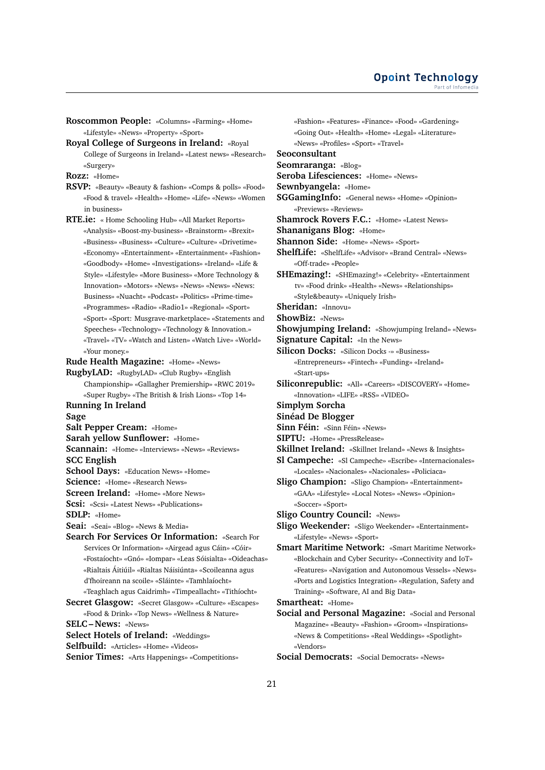- **Roscommon People:** «Columns» «Farming» «Home» «Lifestyle» «News» «Property» «Sport»
- **Royal College of Surgeons in Ireland:** «Royal College of Surgeons in Ireland» «Latest news» «Research» «Surgery»
- **Rozz:** «Home»
- **RSVP:** «Beauty» «Beauty & fashion» «Comps & polls» «Food» «Food & travel» «Health» «Home» «Life» «News» «Women in business»
- **RTE.ie:** « Home Schooling Hub» «All Market Reports» «Analysis» «Boost-my-business» «Brainstorm» «Brexit» «Business» «Business» «Culture» «Culture» «Drivetime» «Economy» «Entertainment» «Entertainment» «Fashion» «Goodbody» «Home» «Investigations» «Ireland» «Life & Style» «Lifestyle» «More Business» «More Technology & Innovation» «Motors» «News» «News» «News» «News: Business» «Nuacht» «Podcast» «Politics» «Prime-time» «Programmes» «Radio» «Radio1» «Regional» «Sport» «Sport» «Sport: Musgrave-marketplace» «Statements and Speeches» «Technology» «Technology & Innovation.» «Travel» «TV» «Watch and Listen» «Watch Live» «World» «Your money.»

**Rude Health Magazine:** «Home» «News»

**RugbyLAD:** «RugbyLAD» «Club Rugby» «English Championship» «Gallagher Premiership» «RWC 2019» «Super Rugby» «The British & Irish Lions» «Top 14» **Running In Ireland**

**Sage**

- **Salt Pepper Cream:** «Home»
- **Sarah yellow Sunflower:** «Home»
- **Scannain:** «Home» «Interviews» «News» «Reviews» **SCC English**
- **School Days:** «Education News» «Home»
- **Science:** «Home» «Research News»
- **Screen Ireland:** «Home» «More News»
- **Scsi:** «Scsi» «Latest News» «Publications»

**SDLP:** «Home»

- **Seai:** «Seai» «Blog» «News & Media»
- **Search For Services Or Information:** «Search For Services Or Information» «Airgead agus Cáin» «Cóir» «Fostaíocht» «Gnó» «Iompar» «Leas Sóisialta» «Oideachas» «Rialtais Áitiúil» «Rialtas Náisiúnta» «Scoileanna agus d'fhoireann na scoile» «Sláinte» «Tamhlaíocht» «Teaghlach agus Caidrimh» «Timpeallacht» «Tithíocht»
- **Secret Glasgow:** «Secret Glasgow» «Culture» «Escapes» «Food & Drink» «Top News» «Wellness & Nature»

**SELC – News:** «News»

- **Select Hotels of Ireland:** «Weddings»
- **Selfbuild:** «Articles» «Home» «Videos»
- **Senior Times:** «Arts Happenings» «Competitions»
- «Fashion» «Features» «Finance» «Food» «Gardening» «Going Out» «Health» «Home» «Legal» «Literature» «News» «Profiles» «Sport» «Travel»
- **Seoconsultant**
- **Seomraranga:** «Blog»

**Seroba Lifesciences:** «Home» «News»

- **Sewnbyangela:** «Home»
- **SGGamingInfo:** «General news» «Home» «Opinion» «Previews» «Reviews»
- **Shamrock Rovers F.C.:** «Home» «Latest News»
- **Shananigans Blog:** «Home»
- **Shannon Side:** «Home» «News» «Sport»
- **ShelfLife:** «ShelfLife» «Advisor» «Brand Central» «News» «Off-trade» «People»
- **SHEmazing!:** «SHEmazing!» «Celebrity» «Entertainment tv» «Food drink» «Health» «News» «Relationships» «Style&beauty» «Uniquely Irish»
- **Sheridan:** «Innovu»
- **ShowBiz:** «News»
- **Showjumping Ireland:** «Showjumping Ireland» «News»
- **Signature Capital:** «In the News»

**Silicon Docks:** «Silicon Docks -» «Business»

«Entrepreneurs» «Fintech» «Funding» «Ireland» «Start-ups»

**Siliconrepublic:** «All» «Careers» «DISCOVERY» «Home» «Innovation» «LIFE» «RSS» «VIDEO»

**Simplym Sorcha**

- **Sinéad De Blogger**
- **Sinn Féin:** «Sinn Féin» «News»
- **SIPTU:** «Home» «PressRelease»
- **Skillnet Ireland:** «Skillnet Ireland» «News & Insights»
- **Sl Campeche:** «Sl Campeche» «Escribe» «Internacionales» «Locales» «Nacionales» «Nacionales» «Policiaca»
- **Sligo Champion:** «Sligo Champion» «Entertainment» «GAA» «Lifestyle» «Local Notes» «News» «Opinion» «Soccer» «Sport»
- **Sligo Country Council:** «News»
- **Sligo Weekender:** «Sligo Weekender» «Entertainment» «Lifestyle» «News» «Sport»
- **Smart Maritime Network:** «Smart Maritime Network» «Blockchain and Cyber Security» «Connectivity and IoT» «Features» «Navigation and Autonomous Vessels» «News» «Ports and Logistics Integration» «Regulation, Safety and Training» «Software, AI and Big Data»

**Smartheat:** «Home»

- **Social and Personal Magazine:** «Social and Personal Magazine» «Beauty» «Fashion» «Groom» «Inspirations» «News & Competitions» «Real Weddings» «Spotlight» «Vendors»
- **Social Democrats:** «Social Democrats» «News»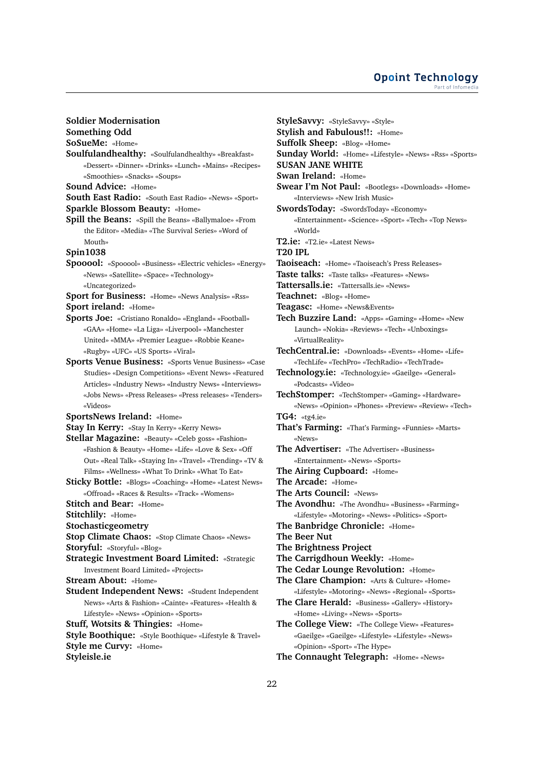### **Opoint Technology** Part of Infomed

**Soldier Modernisation**

**Something Odd**

**SoSueMe:** «Home»

**Soulfulandhealthy:** «Soulfulandhealthy» «Breakfast» «Dessert» «Dinner» «Drinks» «Lunch» «Mains» «Recipes» «Smoothies» «Snacks» «Soups»

**Sound Advice:** «Home»

**South East Radio:** «South East Radio» «News» «Sport» **Sparkle Blossom Beauty:** «Home»

**Spill the Beans:** «Spill the Beans» «Ballymaloe» «From the Editor» «Media» «The Survival Series» «Word of Mouth»

**Spin1038**

**Spooool:** «Spooool» «Business» «Electric vehicles» «Energy» «News» «Satellite» «Space» «Technology» «Uncategorized»

**Sport for Business:** «Home» «News Analysis» «Rss» **Sport ireland:** «Home»

- **Sports Joe:** «Cristiano Ronaldo» «England» «Football» «GAA» «Home» «La Liga» «Liverpool» «Manchester United» «MMA» «Premier League» «Robbie Keane» «Rugby» «UFC» «US Sports» «Viral»
- **Sports Venue Business:** «Sports Venue Business» «Case Studies» «Design Competitions» «Event News» «Featured Articles» «Industry News» «Industry News» «Interviews» «Jobs News» «Press Releases» «Press releases» «Tenders» «Videos»

**SportsNews Ireland:** «Home»

- **Stay In Kerry:** «Stay In Kerry» «Kerry News»
- **Stellar Magazine:** «Beauty» «Celeb goss» «Fashion» «Fashion & Beauty» «Home» «Life» «Love & Sex» «Off Out» «Real Talk» «Staying In» «Travel» «Trending» «TV & Films» «Wellness» «What To Drink» «What To Eat»
- **Sticky Bottle:** «Blogs» «Coaching» «Home» «Latest News» «Offroad» «Races & Results» «Track» «Womens»
- **Stitch and Bear:** «Home»
- **Stitchlily:** «Home»
- **Stochasticgeometry**
- **Stop Climate Chaos:** «Stop Climate Chaos» «News»
- **Storyful:** «Storyful» «Blog»
- **Strategic Investment Board Limited:** «Strategic Investment Board Limited» «Projects»
- **Stream About:** «Home»
- **Student Independent News:** «Student Independent News» «Arts & Fashion» «Cainte» «Features» «Health & Lifestyle» «News» «Opinion» «Sports»
- **Stuff, Wotsits & Thingies:** «Home»

**Style Boothique:** «Style Boothique» «Lifestyle & Travel» **Style me Curvy:** «Home»

**Styleisle.ie**

**StyleSavvy:** «StyleSavvy» «Style» **Stylish and Fabulous!!:** «Home» **Suffolk Sheep:** «Blog» «Home» **Sunday World:** «Home» «Lifestyle» «News» «Rss» «Sports» **SUSAN JANE WHITE Swan Ireland:** «Home» **Swear I'm Not Paul:** «Bootlegs» «Downloads» «Home» «Interviews» «New Irish Music» **SwordsToday:** «SwordsToday» «Economy» «Entertainment» «Science» «Sport» «Tech» «Top News» «World» **T2.ie:** «T2.ie» «Latest News» **T20 IPL Taoiseach:** «Home» «Taoiseach's Press Releases» **Taste talks:** «Taste talks» «Features» «News» **Tattersalls.ie:** «Tattersalls.ie» «News» **Teachnet:** «Blog» «Home» **Teagasc:** «Home» «News&Events» **Tech Buzzire Land:** «Apps» «Gaming» «Home» «New Launch» «Nokia» «Reviews» «Tech» «Unboxings» «VirtualReality» **TechCentral.ie:** «Downloads» «Events» «Home» «Life» «TechLife» «TechPro» «TechRadio» «TechTrade» **Technology.ie:** «Technology.ie» «Gaeilge» «General» «Podcasts» «Video» **TechStomper:** «TechStomper» «Gaming» «Hardware» «News» «Opinion» «Phones» «Preview» «Review» «Tech» **TG4:** «tg4.ie» **That's Farming:** «That's Farming» «Funnies» «Marts» «News» **The Advertiser:** «The Advertiser» «Business» «Entertainment» «News» «Sports» **The Airing Cupboard:** «Home» **The Arcade:** «Home» **The Arts Council:** «News» **The Avondhu:** «The Avondhu» «Business» «Farming» «Lifestyle» «Motoring» «News» «Politics» «Sport» **The Banbridge Chronicle:** «Home» **The Beer Nut The Brightness Project The Carrigdhoun Weekly:** «Home» **The Cedar Lounge Revolution:** «Home» **The Clare Champion:** «Arts & Culture» «Home» «Lifestyle» «Motoring» «News» «Regional» «Sports» **The Clare Herald:** «Business» «Gallery» «History» «Home» «Living» «News» «Sports» **The College View:** «The College View» «Features» «Gaeilge» «Gaeilge» «Lifestyle» «Lifestyle» «News» «Opinion» «Sport» «The Hype»

**The Connaught Telegraph:** «Home» «News»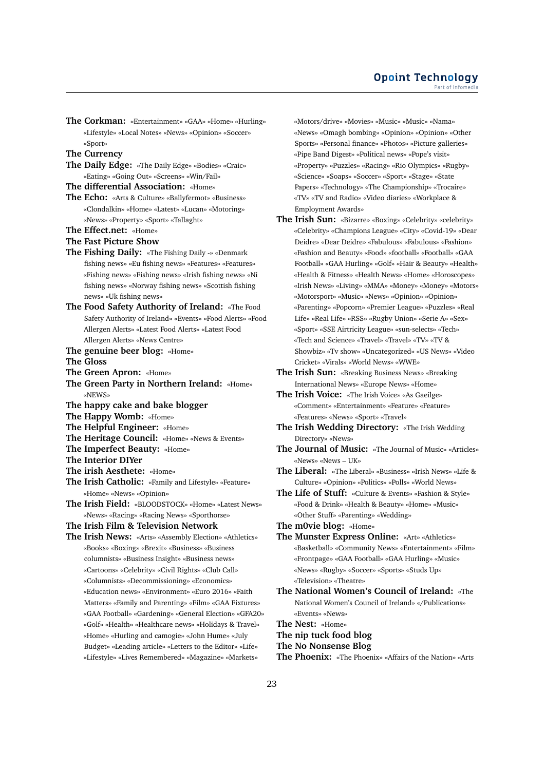**The Corkman:** «Entertainment» «GAA» «Home» «Hurling» «Lifestyle» «Local Notes» «News» «Opinion» «Soccer» «Sport»

**The Currency**

**The Daily Edge:** «The Daily Edge» «Bodies» «Craic» «Eating» «Going Out» «Screens» «Win/Fail»

**The differential Association:** «Home»

- **The Echo:** «Arts & Culture» «Ballyfermot» «Business» «Clondalkin» «Home» «Latest» «Lucan» «Motoring» «News» «Property» «Sport» «Tallaght»
- **The Effect.net:** «Home»
- **The Fast Picture Show**
- **The Fishing Daily:** «The Fishing Daily -» «Denmark fishing news» «Eu fishing news» «Features» «Features» «Fishing news» «Fishing news» «Irish fishing news» «Ni fishing news» «Norway fishing news» «Scottish fishing news» «Uk fishing news»
- **The Food Safety Authority of Ireland:** «The Food Safety Authority of Ireland» «Events» «Food Alerts» «Food Allergen Alerts» «Latest Food Alerts» «Latest Food Allergen Alerts» «News Centre»
- **The genuine beer blog:** «Home»
- **The Gloss**
- **The Green Apron:** «Home»
- **The Green Party in Northern Ireland:** «Home» «NEWS»
- **The happy cake and bake blogger**
- **The Happy Womb:** «Home»
- **The Helpful Engineer:** «Home»
- **The Heritage Council:** «Home» «News & Events»
- **The Imperfect Beauty:** «Home»
- **The Interior DIYer**
- **The irish Aesthete:** «Home»
- **The Irish Catholic:** «Family and Lifestyle» «Feature» «Home» «News» «Opinion»
- **The Irish Field:** «BLOODSTOCK» «Home» «Latest News» «News» «Racing» «Racing News» «Sporthorse»

## **The Irish Film & Television Network**

**The Irish News:** «Arts» «Assembly Election» «Athletics» «Books» «Boxing» «Brexit» «Business» «Business columnists» «Business Insight» «Business news» «Cartoons» «Celebrity» «Civil Rights» «Club Call» «Columnists» «Decommissioning» «Economics» «Education news» «Environment» «Euro 2016» «Faith Matters» «Family and Parenting» «Film» «GAA Fixtures» «GAA Football» «Gardening» «General Election» «GFA20» «Golf» «Health» «Healthcare news» «Holidays & Travel» «Home» «Hurling and camogie» «John Hume» «July Budget» «Leading article» «Letters to the Editor» «Life» «Lifestyle» «Lives Remembered» «Magazine» «Markets»

«Motors/drive» «Movies» «Music» «Music» «Nama» «News» «Omagh bombing» «Opinion» «Opinion» «Other Sports» «Personal finance» «Photos» «Picture galleries» «Pipe Band Digest» «Political news» «Pope's visit» «Property» «Puzzles» «Racing» «Rio Olympics» «Rugby» «Science» «Soaps» «Soccer» «Sport» «Stage» «State Papers» «Technology» «The Championship» «Trocaire» «TV» «TV and Radio» «Video diaries» «Workplace & Employment Awards»

- **The Irish Sun:** «Bizarre» «Boxing» «Celebrity» «celebrity» «Celebrity» «Champions League» «City» «Covid-19» «Dear Deidre» «Dear Deidre» «Fabulous» «Fabulous» «Fashion» «Fashion and Beauty» «Food» «football» «Football» «GAA Football» «GAA Hurling» «Golf» «Hair & Beauty» «Health» «Health & Fitness» «Health News» «Home» «Horoscopes» «Irish News» «Living» «MMA» «Money» «Money» «Motors» «Motorsport» «Music» «News» «Opinion» «Opinion» «Parenting» «Popcorn» «Premier League» «Puzzles» «Real Life» «Real Life» «RSS» «Rugby Union» «Serie A» «Sex» «Sport» «SSE Airtricity League» «sun-selects» «Tech» «Tech and Science» «Travel» «Travel» «TV» «TV & Showbiz» «Tv show» «Uncategorized» «US News» «Video Cricket» «Virals» «World News» «WWE»
- **The Irish Sun:** «Breaking Business News» «Breaking International News» «Europe News» «Home»

**The Irish Voice:** «The Irish Voice» «As Gaeilge» «Comment» «Entertainment» «Feature» «Feature» «Features» «News» «Sport» «Travel»

- **The Irish Wedding Directory:** «The Irish Wedding Directory» «News»
- **The Journal of Music:** «The Journal of Music» «Articles» «News» «News – UK»
- **The Liberal:** «The Liberal» «Business» «Irish News» «Life & Culture» «Opinion» «Politics» «Polls» «World News»

**The Life of Stuff:** «Culture & Events» «Fashion & Style» «Food & Drink» «Health & Beauty» «Home» «Music» «Other Stuff» «Parenting» «Wedding»

- **The m0vie blog:** «Home»
- **The Munster Express Online:** «Art» «Athletics» «Basketball» «Community News» «Entertainment» «Film» «Frontpage» «GAA Football» «GAA Hurling» «Music» «News» «Rugby» «Soccer» «Sports» «Studs Up» «Television» «Theatre»
- **The National Women's Council of Ireland:** «The National Women's Council of Ireland» «/Publications» «Events» «News»
- **The Nest:** «Home»
- **The nip tuck food blog**
- **The No Nonsense Blog**
- **The Phoenix:** «The Phoenix» «Affairs of the Nation» «Arts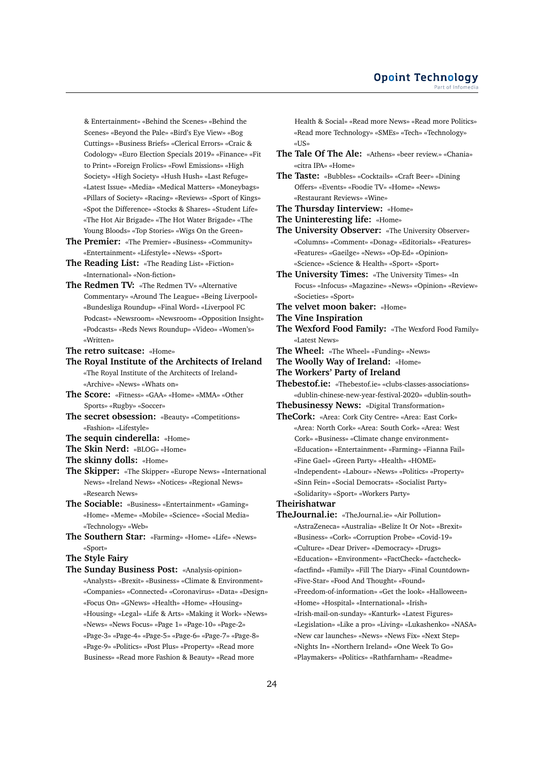& Entertainment» «Behind the Scenes» «Behind the Scenes» «Beyond the Pale» «Bird's Eye View» «Bog Cuttings» «Business Briefs» «Clerical Errors» «Craic & Codology» «Euro Election Specials 2019» «Finance» «Fit to Print» «Foreign Frolics» «Fowl Emissions» «High Society» «High Society» «Hush Hush» «Last Refuge» «Latest Issue» «Media» «Medical Matters» «Moneybags» «Pillars of Society» «Racing» «Reviews» «Sport of Kings» «Spot the Difference» «Stocks & Shares» «Student Life» «The Hot Air Brigade» «The Hot Water Brigade» «The Young Bloods» «Top Stories» «Wigs On the Green»

- **The Premier:** «The Premier» «Business» «Community» «Entertainment» «Lifestyle» «News» «Sport»
- **The Reading List:** «The Reading List» «Fiction» «International» «Non-fiction»
- **The Redmen TV:** «The Redmen TV» «Alternative Commentary» «Around The League» «Being Liverpool» «Bundesliga Roundup» «Final Word» «Liverpool FC Podcast» «Newsroom» «Newsroom» «Opposition Insight» «Podcasts» «Reds News Roundup» «Video» «Women's» «Written»
- **The retro suitcase:** «Home»
- **The Royal Institute of the Architects of Ireland** «The Royal Institute of the Architects of Ireland» «Archive» «News» «Whats on»
- **The Score:** «Fitness» «GAA» «Home» «MMA» «Other Sports» «Rugby» «Soccer»
- **The secret obsession:** «Beauty» «Competitions» «Fashion» «Lifestyle»
- **The sequin cinderella:** «Home»
- **The Skin Nerd:** «BLOG» «Home»
- **The skinny dolls:** «Home»
- **The Skipper:** «The Skipper» «Europe News» «International News» «Ireland News» «Notices» «Regional News» «Research News»
- **The Sociable:** «Business» «Entertainment» «Gaming» «Home» «Meme» «Mobile» «Science» «Social Media» «Technology» «Web»
- **The Southern Star:** «Farming» «Home» «Life» «News» «Sport»
- **The Style Fairy**
- **The Sunday Business Post:** «Analysis-opinion» «Analysts» «Brexit» «Business» «Climate & Environment» «Companies» «Connected» «Coronavirus» «Data» «Design» «Focus On» «GNews» «Health» «Home» «Housing» «Housing» «Legal» «Life & Arts» «Making it Work» «News» «News» «News Focus» «Page 1» «Page-10» «Page-2» «Page-3» «Page-4» «Page-5» «Page-6» «Page-7» «Page-8» «Page-9» «Politics» «Post Plus» «Property» «Read more Business» «Read more Fashion & Beauty» «Read more

Health & Social» «Read more News» «Read more Politics» «Read more Technology» «SMEs» «Tech» «Technology» «US»

- **The Tale Of The Ale:** «Athens» «beer review.» «Chania» «citra IPA» «Home»
- **The Taste:** «Bubbles» «Cocktails» «Craft Beer» «Dining Offers» «Events» «Foodie TV» «Home» «News» «Restaurant Reviews» «Wine»
- **The Thursday Iinterview:** «Home»
- **The Uninteresting life:** «Home»
- **The University Observer:** «The University Observer» «Columns» «Comment» «Donag» «Editorials» «Features» «Features» «Gaeilge» «News» «Op-Ed» «Opinion» «Science» «Science & Health» «Sport» «Sport»
- **The University Times:** «The University Times» «In Focus» «Infocus» «Magazine» «News» «Opinion» «Review» «Societies» «Sport»
- **The velvet moon baker:** «Home»
- **The Vine Inspiration**
- **The Wexford Food Family:** «The Wexford Food Family» «Latest News»
- **The Wheel:** «The Wheel» «Funding» «News»
- **The Woolly Way of Ireland:** «Home»
- **The Workers' Party of Ireland**
- **Thebestof.ie:** «Thebestof.ie» «clubs-classes-associations» «dublin-chinese-new-year-festival-2020» «dublin-south»
- **Thebusinessy News:** «Digital Transformation»
- **TheCork:** «Area: Cork City Centre» «Area: East Cork» «Area: North Cork» «Area: South Cork» «Area: West Cork» «Business» «Climate change environment» «Education» «Entertainment» «Farming» «Fianna Fail» «Fine Gael» «Green Party» «Health» «HOME» «Independent» «Labour» «News» «Politics» «Property» «Sinn Fein» «Social Democrats» «Socialist Party» «Solidarity» «Sport» «Workers Party»
- **Theirishatwar**
- **TheJournal.ie:** «TheJournal.ie» «Air Pollution» «AstraZeneca» «Australia» «Belize It Or Not» «Brexit» «Business» «Cork» «Corruption Probe» «Covid-19» «Culture» «Dear Driver» «Democracy» «Drugs» «Education» «Environment» «FactCheck» «factcheck» «factfind» «Family» «Fill The Diary» «Final Countdown» «Five-Star» «Food And Thought» «Found» «Freedom-of-information» «Get the look» «Halloween» «Home» «Hospital» «International» «Irish» «Irish-mail-on-sunday» «Kanturk» «Latest Figures» «Legislation» «Like a pro» «Living» «Lukashenko» «NASA» «New car launches» «News» «News Fix» «Next Step» «Nights In» «Northern Ireland» «One Week To Go» «Playmakers» «Politics» «Rathfarnham» «Readme»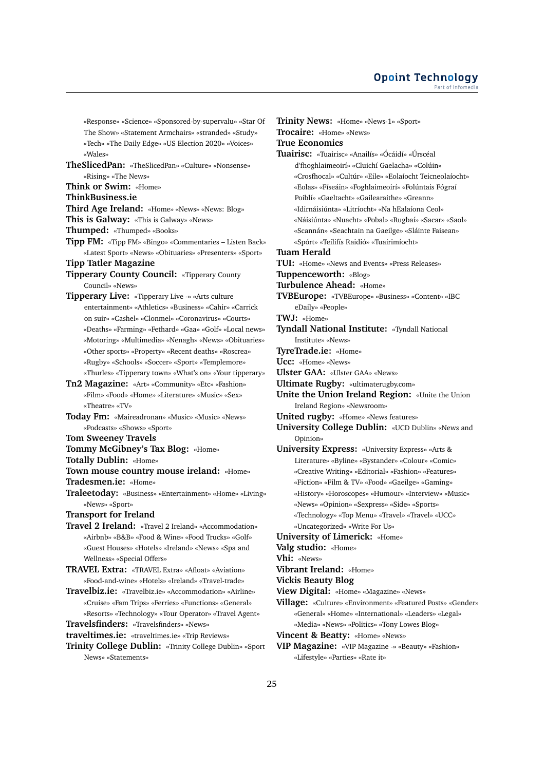«Response» «Science» «Sponsored-by-supervalu» «Star Of The Show» «Statement Armchairs» «stranded» «Study» «Tech» «The Daily Edge» «US Election 2020» «Voices» «Wales»

**TheSlicedPan:** «TheSlicedPan» «Culture» «Nonsense» «Rising» «The News»

**Think or Swim:** «Home»

**ThinkBusiness.ie**

**Third Age Ireland:** «Home» «News» «News: Blog»

**This is Galway:** «This is Galway» «News»

- **Thumped:** «Thumped» «Books»
- **Tipp FM:** «Tipp FM» «Bingo» «Commentaries Listen Back» «Latest Sport» «News» «Obituaries» «Presenters» «Sport»
- **Tipp Tatler Magazine**

**Tipperary County Council:** «Tipperary County Council» «News»

**Tipperary Live:** «Tipperary Live -» «Arts culture entertainment» «Athletics» «Business» «Cahir» «Carrick on suir» «Cashel» «Clonmel» «Coronavirus» «Courts» «Deaths» «Farming» «Fethard» «Gaa» «Golf» «Local news» «Motoring» «Multimedia» «Nenagh» «News» «Obituaries» «Other sports» «Property» «Recent deaths» «Roscrea» «Rugby» «Schools» «Soccer» «Sport» «Templemore»

«Thurles» «Tipperary town» «What's on» «Your tipperary» **Tn2 Magazine:** «Art» «Community» «Etc» «Fashion»

«Film» «Food» «Home» «Literature» «Music» «Sex» «Theatre» «TV»

**Today Fm:** «Maireadronan» «Music» «Music» «News» «Podcasts» «Shows» «Sport»

**Tom Sweeney Travels**

**Tommy McGibney's Tax Blog:** «Home»

**Totally Dublin:** «Home»

**Town mouse country mouse ireland:** «Home» **Tradesmen.ie:** «Home»

**Traleetoday:** «Business» «Entertainment» «Home» «Living» «News» «Sport»

**Transport for Ireland**

**Travel 2 Ireland:** «Travel 2 Ireland» «Accommodation» «Airbnb» «B&B» «Food & Wine» «Food Trucks» «Golf» «Guest Houses» «Hotels» «Ireland» «News» «Spa and Wellness» «Special Offers»

**TRAVEL Extra:** «TRAVEL Extra» «Afloat» «Aviation» «Food-and-wine» «Hotels» «Ireland» «Travel-trade»

**Travelbiz.ie:** «Travelbiz.ie» «Accommodation» «Airline» «Cruise» «Fam Trips» «Ferries» «Functions» «General» «Resorts» «Technology» «Tour Operator» «Travel Agent»

**Travelsfinders:** «Travelsfinders» «News»

**traveltimes.ie:** «traveltimes.ie» «Trip Reviews»

**Trinity College Dublin:** «Trinity College Dublin» «Sport News» «Statements»

**Trinity News:** «Home» «News-1» «Sport» **Trocaire:** «Home» «News» **True Economics Tuairisc:** «Tuairisc» «Anailís» «Ócáidí» «Úrscéal d'fhoghlaimeoirí» «Cluichí Gaelacha» «Colúin» «Crosfhocal» «Cultúr» «Eile» «Eolaíocht Teicneolaíocht» «Eolas» «Físeáin» «Foghlaimeoirí» «Folúntais Fógraí Poiblí» «Gaeltacht» «Gailearaithe» «Greann» «Idirnáisiúnta» «Litríocht» «Na hEalaíona Ceol» «Náisiúnta» «Nuacht» «Pobal» «Rugbaí» «Sacar» «Saol» «Scannán» «Seachtain na Gaeilge» «Sláinte Faisean» «Spórt» «Teilifís Raidió» «Tuairimíocht» **Tuam Herald TUI:** «Home» «News and Events» «Press Releases» **Tuppenceworth:** «Blog» **Turbulence Ahead:** «Home» **TVBEurope:** «TVBEurope» «Business» «Content» «IBC eDaily» «People» **TWJ:** «Home» **Tyndall National Institute:** «Tyndall National Institute» «News» **TyreTrade.ie:** «Home» **Ucc:** «Home» «News» **Ulster GAA:** «Ulster GAA» «News» **Ultimate Rugby:** «ultimaterugby.com» **Unite the Union Ireland Region:** «Unite the Union Ireland Region» «Newsroom» **United rugby:** «Home» «News features» **University College Dublin:** «UCD Dublin» «News and Opinion» **University Express:** «University Express» «Arts & Literature» «Byline» «Bystander» «Colour» «Comic» «Creative Writing» «Editorial» «Fashion» «Features» «Fiction» «Film & TV» «Food» «Gaeilge» «Gaming» «History» «Horoscopes» «Humour» «Interview» «Music» «News» «Opinion» «Sexpress» «Side» «Sports» «Technology» «Top Menu» «Travel» «Travel» «UCC» «Uncategorized» «Write For Us» **University of Limerick:** «Home» **Valg studio:** «Home» **Vhi:** «News» **Vibrant Ireland:** «Home» **Vickis Beauty Blog View Digital:** «Home» «Magazine» «News»

**Village:** «Culture» «Environment» «Featured Posts» «Gender» «General» «Home» «International» «Leaders» «Legal» «Media» «News» «Politics» «Tony Lowes Blog»

**Vincent & Beatty:** «Home» «News»

**VIP Magazine:** «VIP Magazine -» «Beauty» «Fashion» «Lifestyle» «Parties» «Rate it»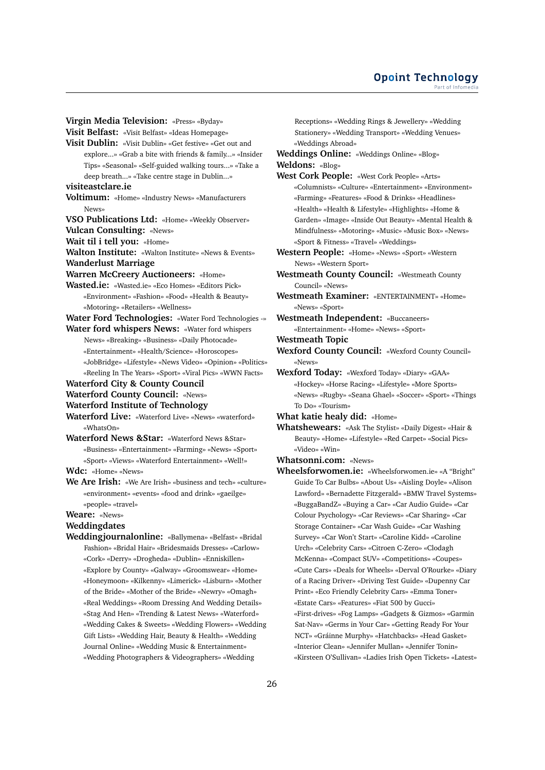**Virgin Media Television:** «Press» «Byday» **Visit Belfast:** «Visit Belfast» «Ideas Homepage» **Visit Dublin:** «Visit Dublin» «Get festive» «Get out and explore...» «Grab a bite with friends & family...» «Insider Tips» «Seasonal» «Self-guided walking tours...» «Take a deep breath...» «Take centre stage in Dublin...» **visiteastclare.ie Voltimum:** «Home» «Industry News» «Manufacturers News» **VSO Publications Ltd:** «Home» «Weekly Observer» **Vulcan Consulting:** «News» **Wait til i tell you:** «Home» **Walton Institute:** «Walton Institute» «News & Events» **Wanderlust Marriage Warren McCreery Auctioneers:** «Home» **Wasted.ie:** «Wasted.ie» «Eco Homes» «Editors Pick» «Environment» «Fashion» «Food» «Health & Beauty» «Motoring» «Retailers» «Wellness» **Water Ford Technologies:** «Water Ford Technologies -» **Water ford whispers News:** «Water ford whispers News» «Breaking» «Business» «Daily Photocade» «Entertainment» «Health/Science» «Horoscopes» «JobBridge» «Lifestyle» «News Video» «Opinion» «Politics»

«Reeling In The Years» «Sport» «Viral Pics» «WWN Facts» **Waterford City & County Council**

**Waterford County Council:** «News»

**Waterford Institute of Technology**

**Waterford Live:** «Waterford Live» «News» «waterford» «WhatsOn»

**Waterford News &Star:** «Waterford News &Star» «Business» «Entertainment» «Farming» «News» «Sport» «Sport» «Views» «Waterford Entertainment» «Well!»

**Wdc:** «Home» «News»

**We Are Irish:** «We Are Irish» «business and tech» «culture» «environment» «events» «food and drink» «gaeilge» «people» «travel»

**Weare:** «News»

## **Weddingdates**

**Weddingjournalonline:** «Ballymena» «Belfast» «Bridal Fashion» «Bridal Hair» «Bridesmaids Dresses» «Carlow» «Cork» «Derry» «Drogheda» «Dublin» «Enniskillen» «Explore by County» «Galway» «Groomswear» «Home» «Honeymoon» «Kilkenny» «Limerick» «Lisburn» «Mother of the Bride» «Mother of the Bride» «Newry» «Omagh» «Real Weddings» «Room Dressing And Wedding Details» «Stag And Hen» «Trending & Latest News» «Waterford» «Wedding Cakes & Sweets» «Wedding Flowers» «Wedding Gift Lists» «Wedding Hair, Beauty & Health» «Wedding Journal Online» «Wedding Music & Entertainment» «Wedding Photographers & Videographers» «Wedding

Receptions» «Wedding Rings & Jewellery» «Wedding Stationery» «Wedding Transport» «Wedding Venues» «Weddings Abroad»

**Weddings Online:** «Weddings Online» «Blog» **Weldons:** «Blog»

- **West Cork People:** «West Cork People» «Arts» «Columnists» «Culture» «Entertainment» «Environment» «Farming» «Features» «Food & Drinks» «Headlines» «Health» «Health & Lifestyle» «Highlights» «Home & Garden» «Image» «Inside Out Beauty» «Mental Health & Mindfulness» «Motoring» «Music» «Music Box» «News» «Sport & Fitness» «Travel» «Weddings»
- **Western People:** «Home» «News» «Sport» «Western News» «Western Sport»

**Westmeath County Council:** «Westmeath County Council» «News»

**Westmeath Examiner:** «ENTERTAINMENT» «Home» «News» «Sport»

**Westmeath Independent:** «Buccaneers»

«Entertainment» «Home» «News» «Sport»

**Westmeath Topic**

**Wexford County Council:** «Wexford County Council» «News»

**Wexford Today:** «Wexford Today» «Diary» «GAA» «Hockey» «Horse Racing» «Lifestyle» «More Sports» «News» «Rugby» «Seana Ghael» «Soccer» «Sport» «Things To Do» «Tourism»

**What katie healy did:** «Home»

**Whatshewears:** «Ask The Stylist» «Daily Digest» «Hair & Beauty» «Home» «Lifestyle» «Red Carpet» «Social Pics» «Video» «Win»

## **Whatsonni.com:** «News»

**Wheelsforwomen.ie:** «Wheelsforwomen.ie» «A "Bright" Guide To Car Bulbs» «About Us» «Aisling Doyle» «Alison Lawford» «Bernadette Fitzgerald» «BMW Travel Systems» «BuggaBandZ» «Buying a Car» «Car Audio Guide» «Car Colour Psychology» «Car Reviews» «Car Sharing» «Car Storage Container» «Car Wash Guide» «Car Washing Survey» «Car Won't Start» «Caroline Kidd» «Caroline Urch» «Celebrity Cars» «Citroen C-Zero» «Clodagh McKenna» «Compact SUV» «Competitions» «Coupes» «Cute Cars» «Deals for Wheels» «Derval O'Rourke» «Diary of a Racing Driver» «Driving Test Guide» «Dupenny Car Print» «Eco Friendly Celebrity Cars» «Emma Toner» «Estate Cars» «Features» «Fiat 500 by Gucci» «First-drives» «Fog Lamps» «Gadgets & Gizmos» «Garmin Sat-Nav» «Germs in Your Car» «Getting Ready For Your NCT» «Gráinne Murphy» «Hatchbacks» «Head Gasket» «Interior Clean» «Jennifer Mullan» «Jennifer Tonin» «Kirsteen O'Sullivan» «Ladies Irish Open Tickets» «Latest»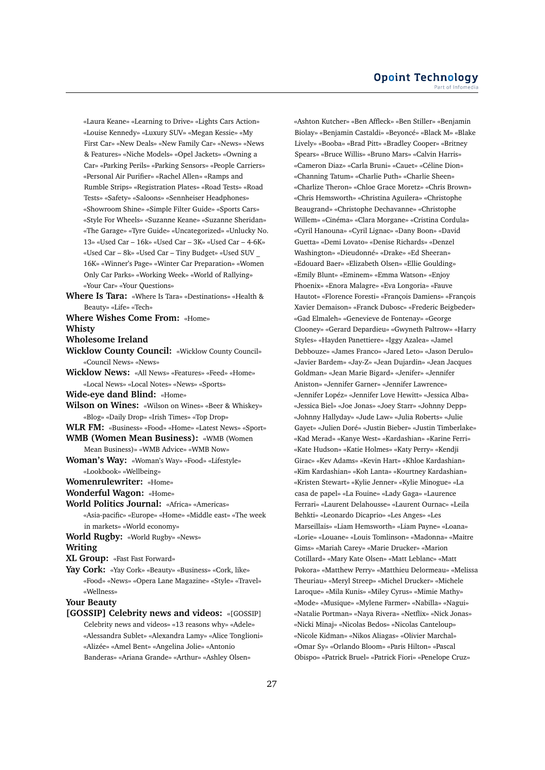«Laura Keane» «Learning to Drive» «Lights Cars Action» «Louise Kennedy» «Luxury SUV» «Megan Kessie» «My First Car» «New Deals» «New Family Car» «News» «News & Features» «Niche Models» «Opel Jackets» «Owning a Car» «Parking Perils» «Parking Sensors» «People Carriers» «Personal Air Purifier» «Rachel Allen» «Ramps and Rumble Strips» «Registration Plates» «Road Tests» «Road Tests» «Safety» «Saloons» «Sennheiser Headphones» «Showroom Shine» «Simple Filter Guide» «Sports Cars» «Style For Wheels» «Suzanne Keane» «Suzanne Sheridan» «The Garage» «Tyre Guide» «Uncategorized» «Unlucky No. 13» «Used Car – 16k» «Used Car – 3K» «Used Car – 4-6K» «Used Car – 8k» «Used Car – Tiny Budget» «Used SUV \_ 16K» «Winner's Page» «Winter Car Preparation» «Women Only Car Parks» «Working Week» «World of Rallying» «Your Car» «Your Questions»

- **Where Is Tara:** «Where Is Tara» «Destinations» «Health & Beauty» «Life» «Tech»
- **Where Wishes Come From:** «Home» **Whisty**
- **Wholesome Ireland**
- 
- **Wicklow County Council:** «Wicklow County Council» «Council News» «News»
- **Wicklow News:** «All News» «Features» «Feed» «Home» «Local News» «Local Notes» «News» «Sports»
- **Wide-eye dand Blind:** «Home»
- **Wilson on Wines:** «Wilson on Wines» «Beer & Whiskey» «Blog» «Daily Drop» «Irish Times» «Top Drop»
- **WLR FM:** «Business» «Food» «Home» «Latest News» «Sport»
- **WMB (Women Mean Business):** «WMB (Women Mean Business)» «WMB Advice» «WMB Now»
- **Woman's Way:** «Woman's Way» «Food» «Lifestyle» «Lookbook» «Wellbeing»
- **Womenrulewriter:** «Home»
- **Wonderful Wagon:** «Home»
- **World Politics Journal:** «Africa» «Americas» «Asia-pacific» «Europe» «Home» «Middle east» «The week in markets» «World economy»
- **World Rugby:** «World Rugby» «News»

#### **Writing**

- **XL Group:** «Fast Fast Forward»
- **Yay Cork:** «Yay Cork» «Beauty» «Business» «Cork, like» «Food» «News» «Opera Lane Magazine» «Style» «Travel» «Wellness»

**Your Beauty**

**[GOSSIP] Celebrity news and videos:** «[GOSSIP] Celebrity news and videos» «13 reasons why» «Adele» «Alessandra Sublet» «Alexandra Lamy» «Alice Tonglioni» «Alizée» «Amel Bent» «Angelina Jolie» «Antonio Banderas» «Ariana Grande» «Arthur» «Ashley Olsen»

«Ashton Kutcher» «Ben Affleck» «Ben Stiller» «Benjamin Biolay» «Benjamin Castaldi» «Beyoncé» «Black M» «Blake Lively» «Booba» «Brad Pitt» «Bradley Cooper» «Britney Spears» «Bruce Willis» «Bruno Mars» «Calvin Harris» «Cameron Diaz» «Carla Bruni» «Cauet» «Céline Dion» «Channing Tatum» «Charlie Puth» «Charlie Sheen» «Charlize Theron» «Chloe Grace Moretz» «Chris Brown» «Chris Hemsworth» «Christina Aguilera» «Christophe Beaugrand» «Christophe Dechavanne» «Christophe Willem» «Cinéma» «Clara Morgane» «Cristina Cordula» «Cyril Hanouna» «Cyril Lignac» «Dany Boon» «David Guetta» «Demi Lovato» «Denise Richards» «Denzel Washington» «Dieudonné» «Drake» «Ed Sheeran» «Edouard Baer» «Elizabeth Olsen» «Ellie Goulding» «Emily Blunt» «Eminem» «Emma Watson» «Enjoy Phoenix» «Enora Malagre» «Eva Longoria» «Fauve Hautot» «Florence Foresti» «François Damiens» «François Xavier Demaison» «Franck Dubosc» «Frederic Beigbeder» «Gad Elmaleh» «Genevieve de Fontenay» «George Clooney» «Gerard Depardieu» «Gwyneth Paltrow» «Harry Styles» «Hayden Panettiere» «Iggy Azalea» «Jamel Debbouze» «James Franco» «Jared Leto» «Jason Derulo» «Javier Bardem» «Jay-Z» «Jean Dujardin» «Jean Jacques Goldman» «Jean Marie Bigard» «Jenifer» «Jennifer Aniston» «Jennifer Garner» «Jennifer Lawrence» «Jennifer Lopéz» «Jennifer Love Hewitt» «Jessica Alba» «Jessica Biel» «Joe Jonas» «Joey Starr» «Johnny Depp» «Johnny Hallyday» «Jude Law» «Julia Roberts» «Julie Gayet» «Julien Doré» «Justin Bieber» «Justin Timberlake» «Kad Merad» «Kanye West» «Kardashian» «Karine Ferri» «Kate Hudson» «Katie Holmes» «Katy Perry» «Kendji Girac» «Kev Adams» «Kevin Hart» «Khloe Kardashian» «Kim Kardashian» «Koh Lanta» «Kourtney Kardashian» «Kristen Stewart» «Kylie Jenner» «Kylie Minogue» «La casa de papel» «La Fouine» «Lady Gaga» «Laurence Ferrari» «Laurent Delahousse» «Laurent Ournac» «Leila Behkti» «Leonardo Dicaprio» «Les Anges» «Les Marseillais» «Liam Hemsworth» «Liam Payne» «Loana» «Lorie» «Louane» «Louis Tomlinson» «Madonna» «Maitre Gims» «Mariah Carey» «Marie Drucker» «Marion Cotillard» «Mary Kate Olsen» «Matt Leblanc» «Matt Pokora» «Matthew Perry» «Matthieu Delormeau» «Melissa Theuriau» «Meryl Streep» «Michel Drucker» «Michele Laroque» «Mila Kunis» «Miley Cyrus» «Mimie Mathy» «Mode» «Musique» «Mylene Farmer» «Nabilla» «Nagui» «Natalie Portman» «Naya Rivera» «Netflix» «Nick Jonas» «Nicki Minaj» «Nicolas Bedos» «Nicolas Canteloup» «Nicole Kidman» «Nikos Aliagas» «Olivier Marchal» «Omar Sy» «Orlando Bloom» «Paris Hilton» «Pascal Obispo» «Patrick Bruel» «Patrick Fiori» «Penelope Cruz»